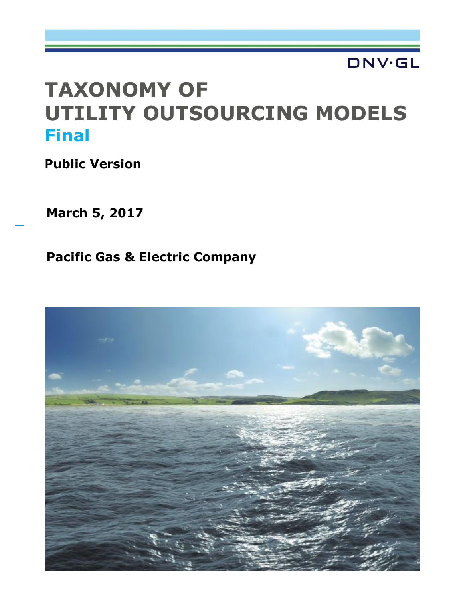# **DNV·GL**

# **TAXONOMY OF UTILITY OUTSOURCING MODELS Final**

**Public Version**

**March 5, 2017**

**Pacific Gas & Electric Company**

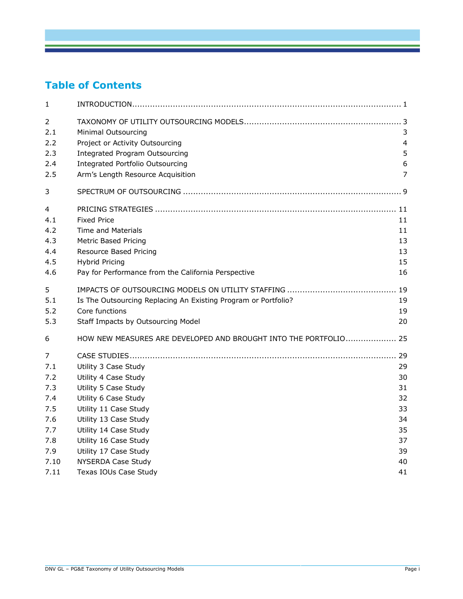### **Table of Contents**

| 1                     |                                                                  |    |
|-----------------------|------------------------------------------------------------------|----|
| $\overline{2}$<br>2.1 | Minimal Outsourcing                                              | 3  |
| 2.2                   | Project or Activity Outsourcing                                  | 4  |
| 2.3                   | <b>Integrated Program Outsourcing</b>                            | 5  |
| 2.4                   | <b>Integrated Portfolio Outsourcing</b>                          | 6  |
| 2.5                   | Arm's Length Resource Acquisition                                | 7  |
| 3                     |                                                                  |    |
| $\overline{4}$        |                                                                  |    |
| 4.1                   | <b>Fixed Price</b>                                               | 11 |
| 4.2                   | <b>Time and Materials</b>                                        | 11 |
| 4.3                   | <b>Metric Based Pricing</b>                                      | 13 |
| 4.4                   | Resource Based Pricing                                           | 13 |
| 4.5                   | <b>Hybrid Pricing</b>                                            | 15 |
| 4.6                   | Pay for Performance from the California Perspective              | 16 |
| 5                     |                                                                  | 19 |
| 5.1                   | Is The Outsourcing Replacing An Existing Program or Portfolio?   | 19 |
| 5.2                   | Core functions                                                   | 19 |
| 5.3                   | Staff Impacts by Outsourcing Model                               | 20 |
| 6                     | HOW NEW MEASURES ARE DEVELOPED AND BROUGHT INTO THE PORTFOLIO 25 |    |
| 7                     |                                                                  |    |
| 7.1                   | Utility 3 Case Study                                             | 29 |
| 7.2                   | Utility 4 Case Study                                             | 30 |
| 7.3                   | Utility 5 Case Study                                             | 31 |
| 7.4                   | Utility 6 Case Study                                             | 32 |
| 7.5                   | Utility 11 Case Study                                            | 33 |
| 7.6                   | Utility 13 Case Study                                            | 34 |
| 7.7                   | Utility 14 Case Study                                            | 35 |
| 7.8                   | Utility 16 Case Study                                            | 37 |
| 7.9                   | Utility 17 Case Study                                            | 39 |
| 7.10                  | NYSERDA Case Study                                               | 40 |
| 7.11                  | Texas IOUs Case Study                                            | 41 |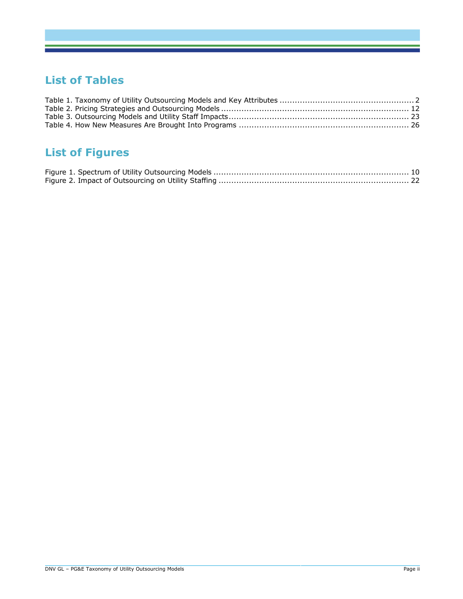#### **List of Tables**

# **List of Figures**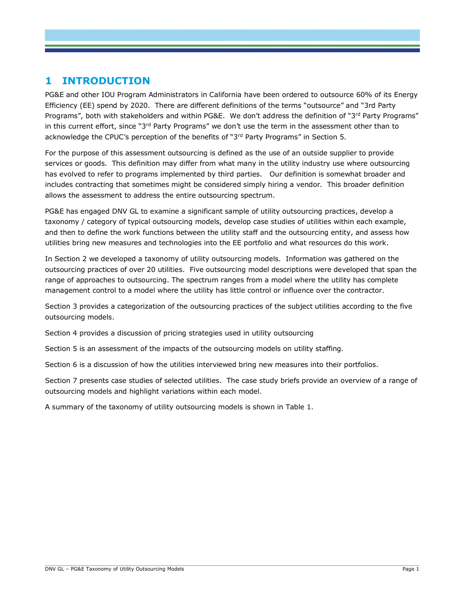#### **1 INTRODUCTION**

PG&E and other IOU Program Administrators in California have been ordered to outsource 60% of its Energy Efficiency (EE) spend by 2020. There are different definitions of the terms "outsource" and "3rd Party Programs", both with stakeholders and within PG&E. We don't address the definition of "3<sup>rd</sup> Party Programs" in this current effort, since "3<sup>rd</sup> Party Programs" we don't use the term in the assessment other than to acknowledge the CPUC's perception of the benefits of "3rd Party Programs" in Section [5.](#page-22-0)

For the purpose of this assessment outsourcing is defined as the use of an outside supplier to provide services or goods. This definition may differ from what many in the utility industry use where outsourcing has evolved to refer to programs implemented by third parties. Our definition is somewhat broader and includes contracting that sometimes might be considered simply hiring a vendor. This broader definition allows the assessment to address the entire outsourcing spectrum.

PG&E has engaged DNV GL to examine a significant sample of utility outsourcing practices, develop a taxonomy / category of typical outsourcing models, develop case studies of utilities within each example, and then to define the work functions between the utility staff and the outsourcing entity, and assess how utilities bring new measures and technologies into the EE portfolio and what resources do this work.

In Section 2 we developed a taxonomy of utility outsourcing models. Information was gathered on the outsourcing practices of over 20 utilities. Five outsourcing model descriptions were developed that span the range of approaches to outsourcing. The spectrum ranges from a model where the utility has complete management control to a model where the utility has little control or influence over the contractor.

Section 3 provides a categorization of the outsourcing practices of the subject utilities according to the five outsourcing models.

Section 4 provides a discussion of pricing strategies used in utility outsourcing

Section 5 is an assessment of the impacts of the outsourcing models on utility staffing.

Section 6 is a discussion of how the utilities interviewed bring new measures into their portfolios.

Section 7 presents case studies of selected utilities. The case study briefs provide an overview of a range of outsourcing models and highlight variations within each model.

A summary of the taxonomy of utility outsourcing models is shown in [Table 1.](#page-5-0)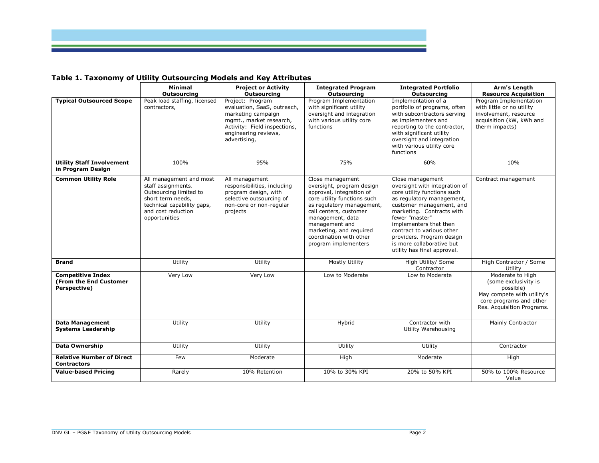

## **Table 1. Taxonomy of Utility Outsourcing Models and Key Attributes**

<span id="page-5-0"></span>

|                                                                    | <b>Minimal</b>                                                                                                                                                    | <b>Project or Activity</b>                                                                                                                                               | <b>Integrated Program</b>                                                                                                                                                                                                                                                           | <b>Integrated Portfolio</b>                                                                                                                                                                                                                                                                                                              | Arm's Length                                                                                                                                 |
|--------------------------------------------------------------------|-------------------------------------------------------------------------------------------------------------------------------------------------------------------|--------------------------------------------------------------------------------------------------------------------------------------------------------------------------|-------------------------------------------------------------------------------------------------------------------------------------------------------------------------------------------------------------------------------------------------------------------------------------|------------------------------------------------------------------------------------------------------------------------------------------------------------------------------------------------------------------------------------------------------------------------------------------------------------------------------------------|----------------------------------------------------------------------------------------------------------------------------------------------|
|                                                                    | <b>Outsourcing</b>                                                                                                                                                | Outsourcing                                                                                                                                                              | <b>Outsourcing</b>                                                                                                                                                                                                                                                                  | <b>Outsourcing</b>                                                                                                                                                                                                                                                                                                                       | <b>Resource Acquisition</b>                                                                                                                  |
| <b>Typical Outsourced Scope</b>                                    | Peak load staffing, licensed<br>contractors,                                                                                                                      | Project: Program<br>evaluation, SaaS, outreach,<br>marketing campaign<br>mgmt., market research,<br>Activity: Field inspections,<br>engineering reviews,<br>advertising, | Program Implementation<br>with significant utility<br>oversight and integration<br>with various utility core<br>functions                                                                                                                                                           | Implementation of a<br>portfolio of programs, often<br>with subcontractors serving<br>as implementers and<br>reporting to the contractor,<br>with significant utility<br>oversight and integration<br>with various utility core<br>functions                                                                                             | Program Implementation<br>with little or no utility<br>involvement, resource<br>acquisition (kW, kWh and<br>therm impacts)                   |
| <b>Utility Staff Involvement</b><br>in Program Design              | 100%                                                                                                                                                              | 95%                                                                                                                                                                      | 75%                                                                                                                                                                                                                                                                                 | 60%                                                                                                                                                                                                                                                                                                                                      | 10%                                                                                                                                          |
| <b>Common Utility Role</b>                                         | All management and most<br>staff assignments.<br>Outsourcing limited to<br>short term needs,<br>technical capability gaps,<br>and cost reduction<br>opportunities | All management<br>responsibilities, including<br>program design, with<br>selective outsourcing of<br>non-core or non-regular<br>projects                                 | Close management<br>oversight, program design<br>approval, integration of<br>core utility functions such<br>as regulatory management,<br>call centers, customer<br>management, data<br>management and<br>marketing, and required<br>coordination with other<br>program implementers | Close management<br>oversight with integration of<br>core utility functions such<br>as regulatory management,<br>customer management, and<br>marketing. Contracts with<br>fewer "master"<br>implementers that then<br>contract to various other<br>providers. Program design<br>is more collaborative but<br>utility has final approval. | Contract management                                                                                                                          |
| <b>Brand</b>                                                       | Utility                                                                                                                                                           | Utility                                                                                                                                                                  | Mostly Utility                                                                                                                                                                                                                                                                      | High Utility/ Some<br>Contractor                                                                                                                                                                                                                                                                                                         | High Contractor / Some<br>Utility                                                                                                            |
| <b>Competitive Index</b><br>(From the End Customer<br>Perspective) | Very Low                                                                                                                                                          | Very Low                                                                                                                                                                 | Low to Moderate                                                                                                                                                                                                                                                                     | Low to Moderate                                                                                                                                                                                                                                                                                                                          | Moderate to High<br>(some exclusivity is<br>possible)<br>May compete with utility's<br>core programs and other<br>Res. Acquisition Programs. |
| <b>Data Management</b><br><b>Systems Leadership</b>                | Utility                                                                                                                                                           | Utility                                                                                                                                                                  | Hybrid                                                                                                                                                                                                                                                                              | Contractor with<br>Utility Warehousing                                                                                                                                                                                                                                                                                                   | Mainly Contractor                                                                                                                            |
| <b>Data Ownership</b>                                              | Utility                                                                                                                                                           | Utility                                                                                                                                                                  | Utility                                                                                                                                                                                                                                                                             | Utility                                                                                                                                                                                                                                                                                                                                  | Contractor                                                                                                                                   |
| <b>Relative Number of Direct</b><br><b>Contractors</b>             | Few                                                                                                                                                               | Moderate                                                                                                                                                                 | High                                                                                                                                                                                                                                                                                | Moderate                                                                                                                                                                                                                                                                                                                                 | High                                                                                                                                         |
| <b>Value-based Pricing</b>                                         | Rarely                                                                                                                                                            | 10% Retention                                                                                                                                                            | 10% to 30% KPI                                                                                                                                                                                                                                                                      | 20% to 50% KPI                                                                                                                                                                                                                                                                                                                           | 50% to 100% Resource<br>Value                                                                                                                |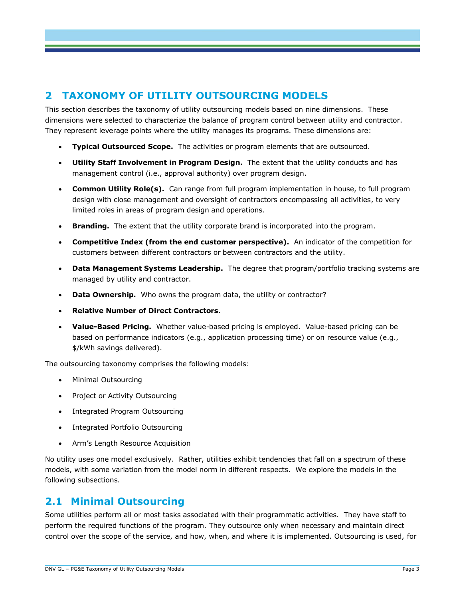#### **2 TAXONOMY OF UTILITY OUTSOURCING MODELS**

This section describes the taxonomy of utility outsourcing models based on nine dimensions. These dimensions were selected to characterize the balance of program control between utility and contractor. They represent leverage points where the utility manages its programs. These dimensions are:

- **Typical Outsourced Scope.** The activities or program elements that are outsourced.
- **Utility Staff Involvement in Program Design.** The extent that the utility conducts and has management control (i.e., approval authority) over program design.
- **Common Utility Role(s).** Can range from full program implementation in house, to full program design with close management and oversight of contractors encompassing all activities, to very limited roles in areas of program design and operations.
- **Branding.** The extent that the utility corporate brand is incorporated into the program.
- **Competitive Index (from the end customer perspective).** An indicator of the competition for customers between different contractors or between contractors and the utility.
- **Data Management Systems Leadership.** The degree that program/portfolio tracking systems are managed by utility and contractor.
- **Data Ownership.** Who owns the program data, the utility or contractor?
- **Relative Number of Direct Contractors**.
- **Value-Based Pricing.** Whether value-based pricing is employed. Value-based pricing can be based on performance indicators (e.g., application processing time) or on resource value (e.g., \$/kWh savings delivered).

The outsourcing taxonomy comprises the following models:

- Minimal Outsourcing
- Project or Activity Outsourcing
- Integrated Program Outsourcing
- Integrated Portfolio Outsourcing
- Arm's Length Resource Acquisition

No utility uses one model exclusively. Rather, utilities exhibit tendencies that fall on a spectrum of these models, with some variation from the model norm in different respects. We explore the models in the following subsections.

#### **2.1 Minimal Outsourcing**

Some utilities perform all or most tasks associated with their programmatic activities. They have staff to perform the required functions of the program. They outsource only when necessary and maintain direct control over the scope of the service, and how, when, and where it is implemented. Outsourcing is used, for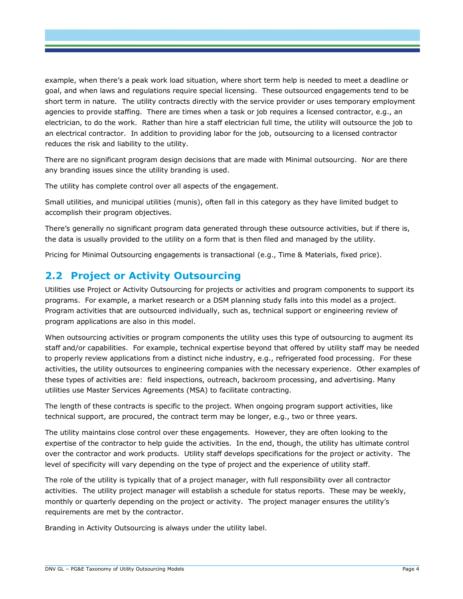example, when there's a peak work load situation, where short term help is needed to meet a deadline or goal, and when laws and regulations require special licensing. These outsourced engagements tend to be short term in nature. The utility contracts directly with the service provider or uses temporary employment agencies to provide staffing. There are times when a task or job requires a licensed contractor, e.g., an electrician, to do the work. Rather than hire a staff electrician full time, the utility will outsource the job to an electrical contractor. In addition to providing labor for the job, outsourcing to a licensed contractor reduces the risk and liability to the utility.

There are no significant program design decisions that are made with Minimal outsourcing. Nor are there any branding issues since the utility branding is used.

The utility has complete control over all aspects of the engagement.

Small utilities, and municipal utilities (munis), often fall in this category as they have limited budget to accomplish their program objectives.

There's generally no significant program data generated through these outsource activities, but if there is, the data is usually provided to the utility on a form that is then filed and managed by the utility.

Pricing for Minimal Outsourcing engagements is transactional (e.g., Time & Materials, fixed price).

#### **2.2 Project or Activity Outsourcing**

Utilities use Project or Activity Outsourcing for projects or activities and program components to support its programs. For example, a market research or a DSM planning study falls into this model as a project. Program activities that are outsourced individually, such as, technical support or engineering review of program applications are also in this model.

When outsourcing activities or program components the utility uses this type of outsourcing to augment its staff and/or capabilities. For example, technical expertise beyond that offered by utility staff may be needed to properly review applications from a distinct niche industry, e.g., refrigerated food processing. For these activities, the utility outsources to engineering companies with the necessary experience. Other examples of these types of activities are: field inspections, outreach, backroom processing, and advertising. Many utilities use Master Services Agreements (MSA) to facilitate contracting.

The length of these contracts is specific to the project. When ongoing program support activities, like technical support, are procured, the contract term may be longer, e.g., two or three years.

The utility maintains close control over these engagements. However, they are often looking to the expertise of the contractor to help guide the activities. In the end, though, the utility has ultimate control over the contractor and work products. Utility staff develops specifications for the project or activity. The level of specificity will vary depending on the type of project and the experience of utility staff.

The role of the utility is typically that of a project manager, with full responsibility over all contractor activities. The utility project manager will establish a schedule for status reports. These may be weekly, monthly or quarterly depending on the project or activity. The project manager ensures the utility's requirements are met by the contractor.

Branding in Activity Outsourcing is always under the utility label.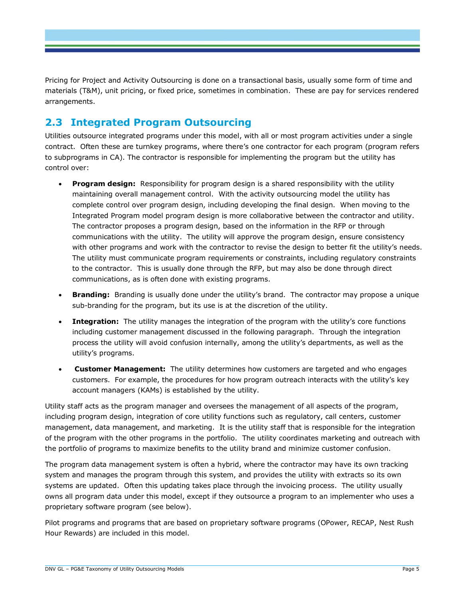Pricing for Project and Activity Outsourcing is done on a transactional basis, usually some form of time and materials (T&M), unit pricing, or fixed price, sometimes in combination. These are pay for services rendered arrangements.

#### <span id="page-8-0"></span>**2.3 Integrated Program Outsourcing**

Utilities outsource integrated programs under this model, with all or most program activities under a single contract. Often these are turnkey programs, where there's one contractor for each program (program refers to subprograms in CA). The contractor is responsible for implementing the program but the utility has control over:

- **Program design:** Responsibility for program design is a shared responsibility with the utility maintaining overall management control. With the activity outsourcing model the utility has complete control over program design, including developing the final design. When moving to the Integrated Program model program design is more collaborative between the contractor and utility. The contractor proposes a program design, based on the information in the RFP or through communications with the utility. The utility will approve the program design, ensure consistency with other programs and work with the contractor to revise the design to better fit the utility's needs. The utility must communicate program requirements or constraints, including regulatory constraints to the contractor. This is usually done through the RFP, but may also be done through direct communications, as is often done with existing programs.
- **Branding:** Branding is usually done under the utility's brand. The contractor may propose a unique sub-branding for the program, but its use is at the discretion of the utility.
- **Integration:** The utility manages the integration of the program with the utility's core functions including customer management discussed in the following paragraph. Through the integration process the utility will avoid confusion internally, among the utility's departments, as well as the utility's programs.
- **Customer Management:** The utility determines how customers are targeted and who engages customers. For example, the procedures for how program outreach interacts with the utility's key account managers (KAMs) is established by the utility.

Utility staff acts as the program manager and oversees the management of all aspects of the program, including program design, integration of core utility functions such as regulatory, call centers, customer management, data management, and marketing. It is the utility staff that is responsible for the integration of the program with the other programs in the portfolio. The utility coordinates marketing and outreach with the portfolio of programs to maximize benefits to the utility brand and minimize customer confusion.

The program data management system is often a hybrid, where the contractor may have its own tracking system and manages the program through this system, and provides the utility with extracts so its own systems are updated. Often this updating takes place through the invoicing process. The utility usually owns all program data under this model, except if they outsource a program to an implementer who uses a proprietary software program (see below).

Pilot programs and programs that are based on proprietary software programs (OPower, RECAP, Nest Rush Hour Rewards) are included in this model.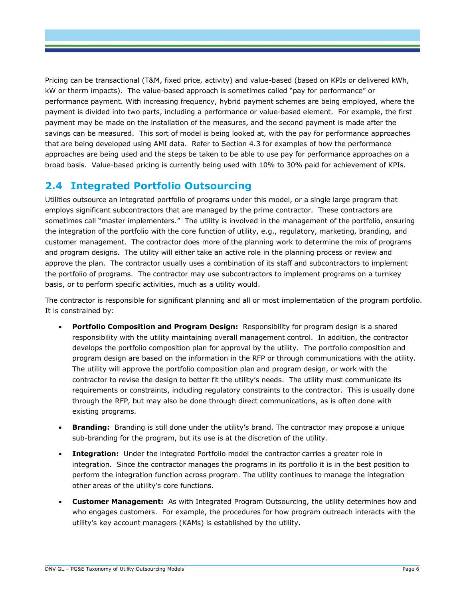Pricing can be transactional (T&M, fixed price, activity) and value-based (based on KPIs or delivered kWh, kW or therm impacts). The value-based approach is sometimes called "pay for performance" or performance payment. With increasing frequency, hybrid payment schemes are being employed, where the payment is divided into two parts, including a performance or value-based element. For example, the first payment may be made on the installation of the measures, and the second payment is made after the savings can be measured. This sort of model is being looked at, with the pay for performance approaches that are being developed using AMI data. Refer to Section [4.3](#page-16-0) for examples of how the performance approaches are being used and the steps be taken to be able to use pay for performance approaches on a broad basis. Value-based pricing is currently being used with 10% to 30% paid for achievement of KPIs.

#### <span id="page-9-0"></span>**2.4 Integrated Portfolio Outsourcing**

Utilities outsource an integrated portfolio of programs under this model, or a single large program that employs significant subcontractors that are managed by the prime contractor. These contractors are sometimes call "master implementers." The utility is involved in the management of the portfolio, ensuring the integration of the portfolio with the core function of utility, e.g., regulatory, marketing, branding, and customer management. The contractor does more of the planning work to determine the mix of programs and program designs. The utility will either take an active role in the planning process or review and approve the plan. The contractor usually uses a combination of its staff and subcontractors to implement the portfolio of programs. The contractor may use subcontractors to implement programs on a turnkey basis, or to perform specific activities, much as a utility would.

The contractor is responsible for significant planning and all or most implementation of the program portfolio. It is constrained by:

- **Portfolio Composition and Program Design:** Responsibility for program design is a shared responsibility with the utility maintaining overall management control. In addition, the contractor develops the portfolio composition plan for approval by the utility. The portfolio composition and program design are based on the information in the RFP or through communications with the utility. The utility will approve the portfolio composition plan and program design, or work with the contractor to revise the design to better fit the utility's needs. The utility must communicate its requirements or constraints, including regulatory constraints to the contractor. This is usually done through the RFP, but may also be done through direct communications, as is often done with existing programs.
- **Branding:** Branding is still done under the utility's brand. The contractor may propose a unique sub-branding for the program, but its use is at the discretion of the utility.
- **Integration:** Under the integrated Portfolio model the contractor carries a greater role in integration. Since the contractor manages the programs in its portfolio it is in the best position to perform the integration function across program. The utility continues to manage the integration other areas of the utility's core functions.
- **Customer Management:** As with Integrated Program Outsourcing, the utility determines how and who engages customers. For example, the procedures for how program outreach interacts with the utility's key account managers (KAMs) is established by the utility.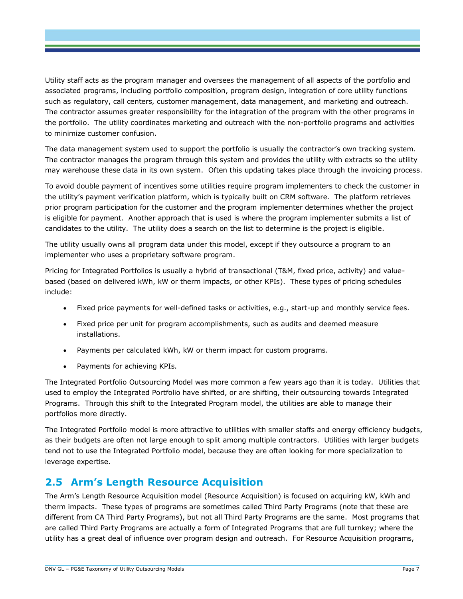Utility staff acts as the program manager and oversees the management of all aspects of the portfolio and associated programs, including portfolio composition, program design, integration of core utility functions such as regulatory, call centers, customer management, data management, and marketing and outreach. The contractor assumes greater responsibility for the integration of the program with the other programs in the portfolio. The utility coordinates marketing and outreach with the non-portfolio programs and activities to minimize customer confusion.

The data management system used to support the portfolio is usually the contractor's own tracking system. The contractor manages the program through this system and provides the utility with extracts so the utility may warehouse these data in its own system. Often this updating takes place through the invoicing process.

To avoid double payment of incentives some utilities require program implementers to check the customer in the utility's payment verification platform, which is typically built on CRM software. The platform retrieves prior program participation for the customer and the program implementer determines whether the project is eligible for payment. Another approach that is used is where the program implementer submits a list of candidates to the utility. The utility does a search on the list to determine is the project is eligible.

The utility usually owns all program data under this model, except if they outsource a program to an implementer who uses a proprietary software program.

Pricing for Integrated Portfolios is usually a hybrid of transactional (T&M, fixed price, activity) and valuebased (based on delivered kWh, kW or therm impacts, or other KPIs). These types of pricing schedules include:

- Fixed price payments for well-defined tasks or activities, e.g., start-up and monthly service fees.
- Fixed price per unit for program accomplishments, such as audits and deemed measure installations.
- Payments per calculated kWh, kW or therm impact for custom programs.
- Payments for achieving KPIs.

The Integrated Portfolio Outsourcing Model was more common a few years ago than it is today. Utilities that used to employ the Integrated Portfolio have shifted, or are shifting, their outsourcing towards Integrated Programs. Through this shift to the Integrated Program model, the utilities are able to manage their portfolios more directly.

The Integrated Portfolio model is more attractive to utilities with smaller staffs and energy efficiency budgets, as their budgets are often not large enough to split among multiple contractors. Utilities with larger budgets tend not to use the Integrated Portfolio model, because they are often looking for more specialization to leverage expertise.

#### **2.5 Arm's Length Resource Acquisition**

The Arm's Length Resource Acquisition model (Resource Acquisition) is focused on acquiring kW, kWh and therm impacts. These types of programs are sometimes called Third Party Programs (note that these are different from CA Third Party Programs), but not all Third Party Programs are the same. Most programs that are called Third Party Programs are actually a form of Integrated Programs that are full turnkey; where the utility has a great deal of influence over program design and outreach. For Resource Acquisition programs,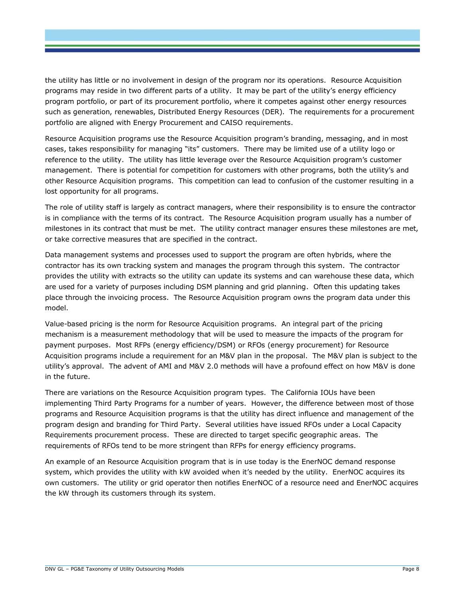the utility has little or no involvement in design of the program nor its operations. Resource Acquisition programs may reside in two different parts of a utility. It may be part of the utility's energy efficiency program portfolio, or part of its procurement portfolio, where it competes against other energy resources such as generation, renewables, Distributed Energy Resources (DER). The requirements for a procurement portfolio are aligned with Energy Procurement and CAISO requirements.

Resource Acquisition programs use the Resource Acquisition program's branding, messaging, and in most cases, takes responsibility for managing "its" customers. There may be limited use of a utility logo or reference to the utility. The utility has little leverage over the Resource Acquisition program's customer management. There is potential for competition for customers with other programs, both the utility's and other Resource Acquisition programs. This competition can lead to confusion of the customer resulting in a lost opportunity for all programs.

The role of utility staff is largely as contract managers, where their responsibility is to ensure the contractor is in compliance with the terms of its contract. The Resource Acquisition program usually has a number of milestones in its contract that must be met. The utility contract manager ensures these milestones are met, or take corrective measures that are specified in the contract.

Data management systems and processes used to support the program are often hybrids, where the contractor has its own tracking system and manages the program through this system. The contractor provides the utility with extracts so the utility can update its systems and can warehouse these data, which are used for a variety of purposes including DSM planning and grid planning. Often this updating takes place through the invoicing process. The Resource Acquisition program owns the program data under this model.

Value-based pricing is the norm for Resource Acquisition programs. An integral part of the pricing mechanism is a measurement methodology that will be used to measure the impacts of the program for payment purposes. Most RFPs (energy efficiency/DSM) or RFOs (energy procurement) for Resource Acquisition programs include a requirement for an M&V plan in the proposal. The M&V plan is subject to the utility's approval. The advent of AMI and M&V 2.0 methods will have a profound effect on how M&V is done in the future.

There are variations on the Resource Acquisition program types. The California IOUs have been implementing Third Party Programs for a number of years. However, the difference between most of those programs and Resource Acquisition programs is that the utility has direct influence and management of the program design and branding for Third Party. Several utilities have issued RFOs under a Local Capacity Requirements procurement process. These are directed to target specific geographic areas. The requirements of RFOs tend to be more stringent than RFPs for energy efficiency programs.

An example of an Resource Acquisition program that is in use today is the EnerNOC demand response system, which provides the utility with kW avoided when it's needed by the utility. EnerNOC acquires its own customers. The utility or grid operator then notifies EnerNOC of a resource need and EnerNOC acquires the kW through its customers through its system.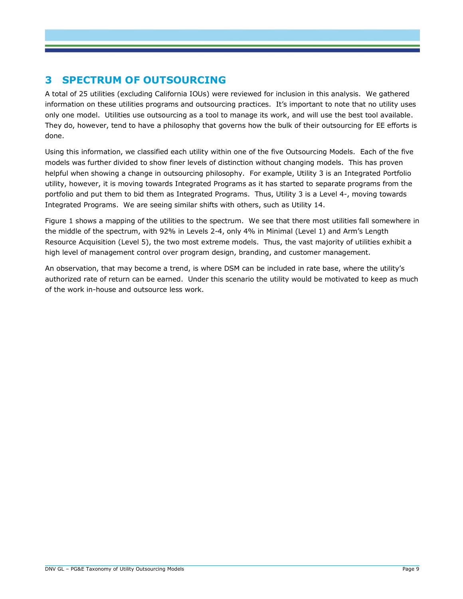#### **3 SPECTRUM OF OUTSOURCING**

A total of 25 utilities (excluding California IOUs) were reviewed for inclusion in this analysis. We gathered information on these utilities programs and outsourcing practices. It's important to note that no utility uses only one model. Utilities use outsourcing as a tool to manage its work, and will use the best tool available. They do, however, tend to have a philosophy that governs how the bulk of their outsourcing for EE efforts is done.

Using this information, we classified each utility within one of the five Outsourcing Models. Each of the five models was further divided to show finer levels of distinction without changing models. This has proven helpful when showing a change in outsourcing philosophy. For example, Utility 3 is an Integrated Portfolio utility, however, it is moving towards Integrated Programs as it has started to separate programs from the portfolio and put them to bid them as Integrated Programs. Thus, Utility 3 is a Level 4-, moving towards Integrated Programs. We are seeing similar shifts with others, such as Utility 14.

[Figure 1](#page-13-0) shows a mapping of the utilities to the spectrum. We see that there most utilities fall somewhere in the middle of the spectrum, with 92% in Levels 2-4, only 4% in Minimal (Level 1) and Arm's Length Resource Acquisition (Level 5), the two most extreme models. Thus, the vast majority of utilities exhibit a high level of management control over program design, branding, and customer management.

An observation, that may become a trend, is where DSM can be included in rate base, where the utility's authorized rate of return can be earned. Under this scenario the utility would be motivated to keep as much of the work in-house and outsource less work.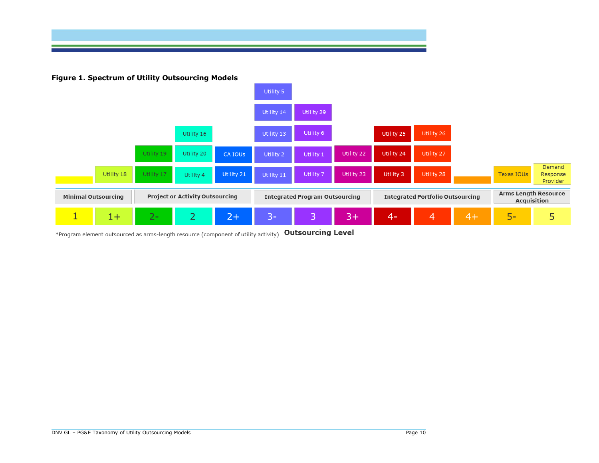

**Figure 1. Spectrum of Utility Outsourcing Models**



<span id="page-13-0"></span>\*Program element outsourced as arms-length resource (component of utility activity) Outsourcing Level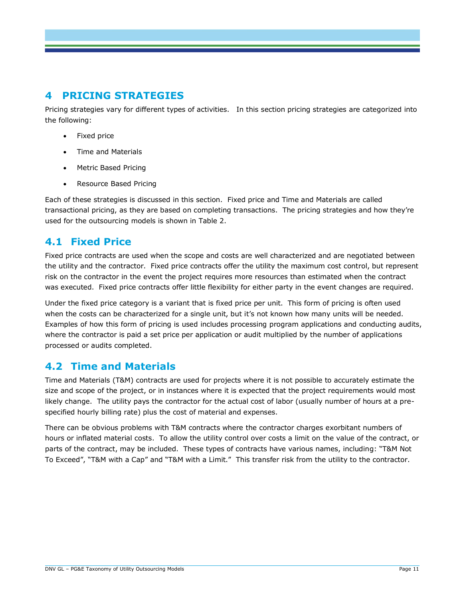#### **4 PRICING STRATEGIES**

Pricing strategies vary for different types of activities. In this section pricing strategies are categorized into the following:

- Fixed price
- Time and Materials
- Metric Based Pricing
- Resource Based Pricing

Each of these strategies is discussed in this section. Fixed price and Time and Materials are called transactional pricing, as they are based on completing transactions. The pricing strategies and how they're used for the outsourcing models is shown in [Table 2.](#page-15-0)

#### **4.1 Fixed Price**

Fixed price contracts are used when the scope and costs are well characterized and are negotiated between the utility and the contractor. Fixed price contracts offer the utility the maximum cost control, but represent risk on the contractor in the event the project requires more resources than estimated when the contract was executed. Fixed price contracts offer little flexibility for either party in the event changes are required.

Under the fixed price category is a variant that is fixed price per unit. This form of pricing is often used when the costs can be characterized for a single unit, but it's not known how many units will be needed. Examples of how this form of pricing is used includes processing program applications and conducting audits, where the contractor is paid a set price per application or audit multiplied by the number of applications processed or audits completed.

#### **4.2 Time and Materials**

Time and Materials (T&M) contracts are used for projects where it is not possible to accurately estimate the size and scope of the project, or in instances where it is expected that the project requirements would most likely change. The utility pays the contractor for the actual cost of labor (usually number of hours at a prespecified hourly billing rate) plus the cost of material and expenses.

There can be obvious problems with T&M contracts where the contractor charges exorbitant numbers of hours or inflated material costs. To allow the utility control over costs a limit on the value of the contract, or parts of the contract, may be included. These types of contracts have various names, including: "T&M Not To Exceed", "T&M with a Cap" and "T&M with a Limit." This transfer risk from the utility to the contractor.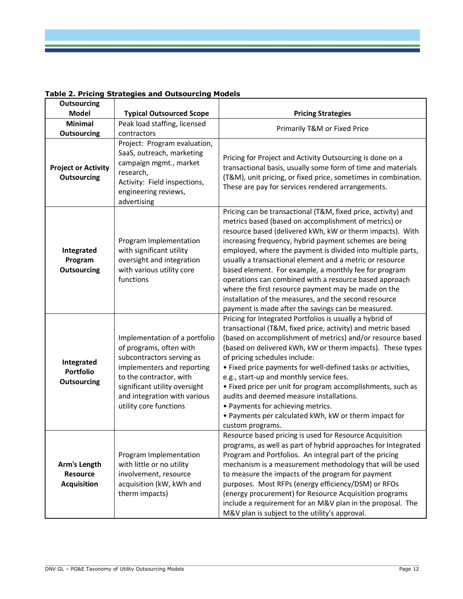| <b>Outsourcing</b>                                    |                                                                                                                                                                                                                                           |                                                                                                                                                                                                                                                                                                                                                                                                                                                                                                                                                                                                                                                                   |
|-------------------------------------------------------|-------------------------------------------------------------------------------------------------------------------------------------------------------------------------------------------------------------------------------------------|-------------------------------------------------------------------------------------------------------------------------------------------------------------------------------------------------------------------------------------------------------------------------------------------------------------------------------------------------------------------------------------------------------------------------------------------------------------------------------------------------------------------------------------------------------------------------------------------------------------------------------------------------------------------|
| <b>Model</b>                                          | <b>Typical Outsourced Scope</b>                                                                                                                                                                                                           | <b>Pricing Strategies</b>                                                                                                                                                                                                                                                                                                                                                                                                                                                                                                                                                                                                                                         |
| <b>Minimal</b>                                        | Peak load staffing, licensed                                                                                                                                                                                                              | Primarily T&M or Fixed Price                                                                                                                                                                                                                                                                                                                                                                                                                                                                                                                                                                                                                                      |
| <b>Outsourcing</b>                                    | contractors                                                                                                                                                                                                                               |                                                                                                                                                                                                                                                                                                                                                                                                                                                                                                                                                                                                                                                                   |
| <b>Project or Activity</b><br><b>Outsourcing</b>      | Project: Program evaluation,<br>SaaS, outreach, marketing<br>campaign mgmt., market<br>research,<br>Activity: Field inspections,<br>engineering reviews,<br>advertising                                                                   | Pricing for Project and Activity Outsourcing is done on a<br>transactional basis, usually some form of time and materials<br>(T&M), unit pricing, or fixed price, sometimes in combination.<br>These are pay for services rendered arrangements.                                                                                                                                                                                                                                                                                                                                                                                                                  |
| Integrated<br>Program<br><b>Outsourcing</b>           | Program Implementation<br>with significant utility<br>oversight and integration<br>with various utility core<br>functions                                                                                                                 | Pricing can be transactional (T&M, fixed price, activity) and<br>metrics based (based on accomplishment of metrics) or<br>resource based (delivered kWh, kW or therm impacts). With<br>increasing frequency, hybrid payment schemes are being<br>employed, where the payment is divided into multiple parts,<br>usually a transactional element and a metric or resource<br>based element. For example, a monthly fee for program<br>operations can combined with a resource based approach<br>where the first resource payment may be made on the<br>installation of the measures, and the second resource<br>payment is made after the savings can be measured. |
| Integrated<br><b>Portfolio</b><br><b>Outsourcing</b>  | Implementation of a portfolio<br>of programs, often with<br>subcontractors serving as<br>implementers and reporting<br>to the contractor, with<br>significant utility oversight<br>and integration with various<br>utility core functions | Pricing for Integrated Portfolios is usually a hybrid of<br>transactional (T&M, fixed price, activity) and metric based<br>(based on accomplishment of metrics) and/or resource based<br>(based on delivered kWh, kW or therm impacts). These types<br>of pricing schedules include:<br>• Fixed price payments for well-defined tasks or activities,<br>e.g., start-up and monthly service fees.<br>• Fixed price per unit for program accomplishments, such as<br>audits and deemed measure installations.<br>• Payments for achieving metrics.<br>• Payments per calculated kWh, kW or therm impact for<br>custom programs.                                     |
| Arm's Length<br><b>Resource</b><br><b>Acquisition</b> | Program Implementation<br>with little or no utility<br>involvement, resource<br>acquisition (kW, kWh and<br>therm impacts)                                                                                                                | Resource based pricing is used for Resource Acquisition<br>programs, as well as part of hybrid approaches for Integrated<br>Program and Portfolios. An integral part of the pricing<br>mechanism is a measurement methodology that will be used<br>to measure the impacts of the program for payment<br>purposes. Most RFPs (energy efficiency/DSM) or RFOs<br>(energy procurement) for Resource Acquisition programs<br>include a requirement for an M&V plan in the proposal. The<br>M&V plan is subject to the utility's approval.                                                                                                                             |

#### <span id="page-15-0"></span>**Table 2. Pricing Strategies and Outsourcing Models**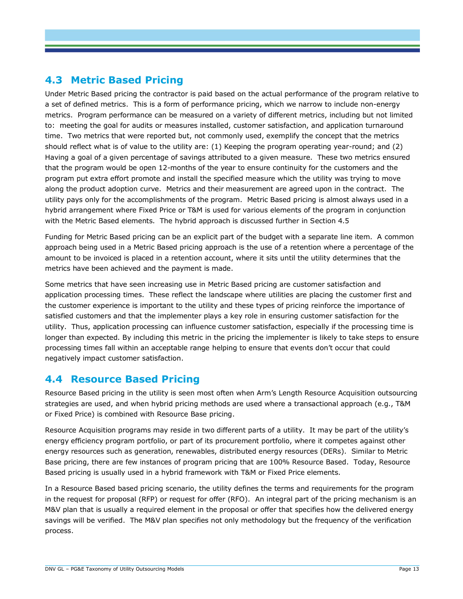#### <span id="page-16-0"></span>**4.3 Metric Based Pricing**

Under Metric Based pricing the contractor is paid based on the actual performance of the program relative to a set of defined metrics. This is a form of performance pricing, which we narrow to include non-energy metrics. Program performance can be measured on a variety of different metrics, including but not limited to: meeting the goal for audits or measures installed, customer satisfaction, and application turnaround time. Two metrics that were reported but, not commonly used, exemplify the concept that the metrics should reflect what is of value to the utility are: (1) Keeping the program operating year-round; and (2) Having a goal of a given percentage of savings attributed to a given measure. These two metrics ensured that the program would be open 12-months of the year to ensure continuity for the customers and the program put extra effort promote and install the specified measure which the utility was trying to move along the product adoption curve. Metrics and their measurement are agreed upon in the contract. The utility pays only for the accomplishments of the program. Metric Based pricing is almost always used in a hybrid arrangement where Fixed Price or T&M is used for various elements of the program in conjunction with the Metric Based elements. The hybrid approach is discussed further in Section [4.5](#page-18-0)

Funding for Metric Based pricing can be an explicit part of the budget with a separate line item. A common approach being used in a Metric Based pricing approach is the use of a retention where a percentage of the amount to be invoiced is placed in a retention account, where it sits until the utility determines that the metrics have been achieved and the payment is made.

Some metrics that have seen increasing use in Metric Based pricing are customer satisfaction and application processing times. These reflect the landscape where utilities are placing the customer first and the customer experience is important to the utility and these types of pricing reinforce the importance of satisfied customers and that the implementer plays a key role in ensuring customer satisfaction for the utility. Thus, application processing can influence customer satisfaction, especially if the processing time is longer than expected. By including this metric in the pricing the implementer is likely to take steps to ensure processing times fall within an acceptable range helping to ensure that events don't occur that could negatively impact customer satisfaction.

#### **4.4 Resource Based Pricing**

Resource Based pricing in the utility is seen most often when Arm's Length Resource Acquisition outsourcing strategies are used, and when hybrid pricing methods are used where a transactional approach (e.g., T&M or Fixed Price) is combined with Resource Base pricing.

Resource Acquisition programs may reside in two different parts of a utility. It may be part of the utility's energy efficiency program portfolio, or part of its procurement portfolio, where it competes against other energy resources such as generation, renewables, distributed energy resources (DERs). Similar to Metric Base pricing, there are few instances of program pricing that are 100% Resource Based. Today, Resource Based pricing is usually used in a hybrid framework with T&M or Fixed Price elements.

In a Resource Based based pricing scenario, the utility defines the terms and requirements for the program in the request for proposal (RFP) or request for offer (RFO). An integral part of the pricing mechanism is an M&V plan that is usually a required element in the proposal or offer that specifies how the delivered energy savings will be verified. The M&V plan specifies not only methodology but the frequency of the verification process.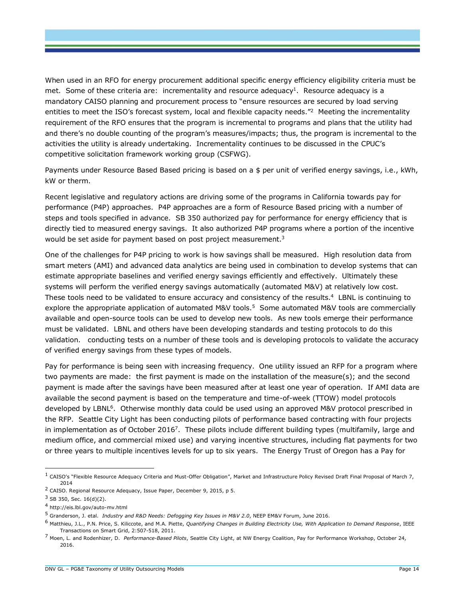When used in an RFO for energy procurement additional specific energy efficiency eligibility criteria must be met. Some of these criteria are: incrementality and resource adequacy<sup>1</sup>. Resource adequacy is a mandatory CAISO planning and procurement process to "ensure resources are secured by load serving entities to meet the ISO's forecast system, local and flexible capacity needs.<sup>"2</sup> Meeting the incrementality requirement of the RFO ensures that the program is incremental to programs and plans that the utility had and there's no double counting of the program's measures/impacts; thus, the program is incremental to the activities the utility is already undertaking. Incrementality continues to be discussed in the CPUC's competitive solicitation framework working group (CSFWG).

Payments under Resource Based Based pricing is based on a \$ per unit of verified energy savings, i.e., kWh, kW or therm.

Recent legislative and regulatory actions are driving some of the programs in California towards pay for performance (P4P) approaches. P4P approaches are a form of Resource Based pricing with a number of steps and tools specified in advance. SB 350 authorized pay for performance for energy efficiency that is directly tied to measured energy savings. It also authorized P4P programs where a portion of the incentive would be set aside for payment based on post project measurement.<sup>3</sup>

One of the challenges for P4P pricing to work is how savings shall be measured. High resolution data from smart meters (AMI) and advanced data analytics are being used in combination to develop systems that can estimate appropriate baselines and verified energy savings efficiently and effectively. Ultimately these systems will perform the verified energy savings automatically (automated M&V) at relatively low cost. These tools need to be validated to ensure accuracy and consistency of the results.<sup>4</sup> LBNL is continuing to explore the appropriate application of automated M&V tools.<sup>5</sup> Some automated M&V tools are commercially available and open-source tools can be used to develop new tools. As new tools emerge their performance must be validated. LBNL and others have been developing standards and testing protocols to do this validation. conducting tests on a number of these tools and is developing protocols to validate the accuracy of verified energy savings from these types of models.

Pay for performance is being seen with increasing frequency. One utility issued an RFP for a program where two payments are made: the first payment is made on the installation of the measure(s); and the second payment is made after the savings have been measured after at least one year of operation. If AMI data are available the second payment is based on the temperature and time-of-week (TTOW) model protocols developed by LBNL<sup>6</sup>. Otherwise monthly data could be used using an approved M&V protocol prescribed in the RFP. Seattle City Light has been conducting pilots of performance based contracting with four projects in implementation as of October 2016<sup>7</sup>. These pilots include different building types (multifamily, large and medium office, and commercial mixed use) and varying incentive structures, including flat payments for two or three years to multiple incentives levels for up to six years. The Energy Trust of Oregon has a Pay for

 $\overline{a}$ 

 $^1$  CAISO's "Flexible Resource Adequacy Criteria and Must-Offer Obligation", Market and Infrastructure Policy Revised Draft Final Proposal of March 7, 2014

<sup>2</sup> CAISO. Regional Resource Adequacy, Issue Paper, December 9, 2015, p 5.

<sup>3</sup> SB 350, Sec. 16(d)(2).

<sup>4</sup> http://eis.lbl.gov/auto-mv.html

<sup>5</sup> Granderson, J. etal. *Industry and R&D Needs: Defogging Key Issues in M&V 2.0*, NEEP EM&V Forum, June 2016.

<sup>6</sup> Matthieu, J.L., P.N. Price, S. Kiliccote, and M.A. Piette, *Quantifying Changes in Building Electricity Use, With Application to Demand Response*, IEEE Transactions on Smart Grid, 2:507-518, 2011.

<sup>7</sup> Moen, L. and Rodenhizer, D. *Performance-Based Pilots*, Seattle City Light, at NW Energy Coalition, Pay for Performance Workshop, October 24, 2016.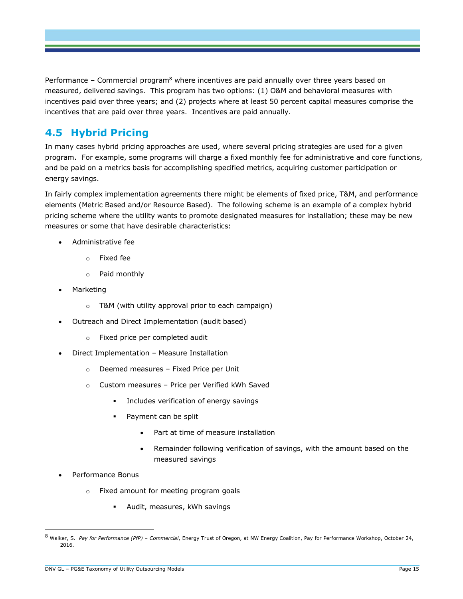Performance – Commercial program<sup>8</sup> where incentives are paid annually over three years based on measured, delivered savings. This program has two options: (1) O&M and behavioral measures with incentives paid over three years; and (2) projects where at least 50 percent capital measures comprise the incentives that are paid over three years. Incentives are paid annually.

#### <span id="page-18-0"></span>**4.5 Hybrid Pricing**

In many cases hybrid pricing approaches are used, where several pricing strategies are used for a given program. For example, some programs will charge a fixed monthly fee for administrative and core functions, and be paid on a metrics basis for accomplishing specified metrics, acquiring customer participation or energy savings.

In fairly complex implementation agreements there might be elements of fixed price, T&M, and performance elements (Metric Based and/or Resource Based). The following scheme is an example of a complex hybrid pricing scheme where the utility wants to promote designated measures for installation; these may be new measures or some that have desirable characteristics:

- Administrative fee
	- o Fixed fee
	- o Paid monthly
- Marketing
	- $\circ$  T&M (with utility approval prior to each campaign)
	- Outreach and Direct Implementation (audit based)
		- o Fixed price per completed audit
- Direct Implementation Measure Installation
	- o Deemed measures Fixed Price per Unit
	- o Custom measures Price per Verified kWh Saved
		- **Includes verification of energy savings**
		- Payment can be split
			- Part at time of measure installation
			- Remainder following verification of savings, with the amount based on the measured savings
- Performance Bonus

 $\overline{a}$ 

- o Fixed amount for meeting program goals
	- Audit, measures, kWh savings

<sup>8</sup> Walker, S. *Pay for Performance (PfP) – Commercial*, Energy Trust of Oregon, at NW Energy Coalition, Pay for Performance Workshop, October 24, 2016.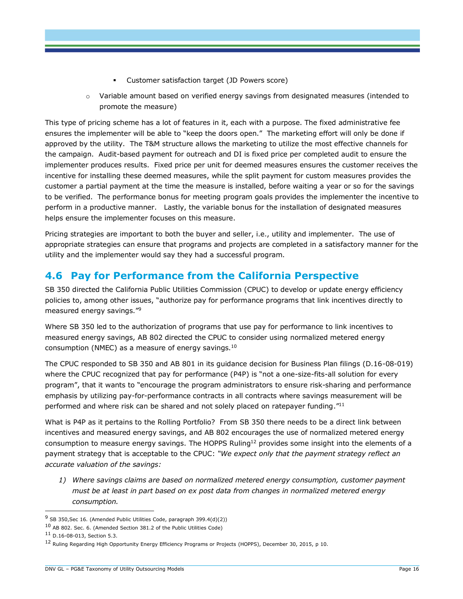- Customer satisfaction target (JD Powers score)
- $\circ$  Variable amount based on verified energy savings from designated measures (intended to promote the measure)

This type of pricing scheme has a lot of features in it, each with a purpose. The fixed administrative fee ensures the implementer will be able to "keep the doors open." The marketing effort will only be done if approved by the utility. The T&M structure allows the marketing to utilize the most effective channels for the campaign. Audit-based payment for outreach and DI is fixed price per completed audit to ensure the implementer produces results. Fixed price per unit for deemed measures ensures the customer receives the incentive for installing these deemed measures, while the split payment for custom measures provides the customer a partial payment at the time the measure is installed, before waiting a year or so for the savings to be verified. The performance bonus for meeting program goals provides the implementer the incentive to perform in a productive manner. Lastly, the variable bonus for the installation of designated measures helps ensure the implementer focuses on this measure.

Pricing strategies are important to both the buyer and seller, i.e., utility and implementer. The use of appropriate strategies can ensure that programs and projects are completed in a satisfactory manner for the utility and the implementer would say they had a successful program.

#### **4.6 Pay for Performance from the California Perspective**

SB 350 directed the California Public Utilities Commission (CPUC) to develop or update energy efficiency policies to, among other issues, "authorize pay for performance programs that link incentives directly to measured energy savings." 9

Where SB 350 led to the authorization of programs that use pay for performance to link incentives to measured energy savings, AB 802 directed the CPUC to consider using normalized metered energy consumption (NMEC) as a measure of energy savings. $^{10}$ 

The CPUC responded to SB 350 and AB 801 in its guidance decision for Business Plan filings (D.16-08-019) where the CPUC recognized that pay for performance (P4P) is "not a one-size-fits-all solution for every program", that it wants to "encourage the program administrators to ensure risk-sharing and performance emphasis by utilizing pay-for-performance contracts in all contracts where savings measurement will be performed and where risk can be shared and not solely placed on ratepayer funding. $"^{11}$ 

What is P4P as it pertains to the Rolling Portfolio? From SB 350 there needs to be a direct link between incentives and measured energy savings, and AB 802 encourages the use of normalized metered energy consumption to measure energy savings. The HOPPS Ruling<sup>12</sup> provides some insight into the elements of a payment strategy that is acceptable to the CPUC: *"We expect only that the payment strategy reflect an accurate valuation of the savings:*

*1) Where savings claims are based on normalized metered energy consumption, customer payment must be at least in part based on ex post data from changes in normalized metered energy consumption.*

<sup>&</sup>lt;sup>9</sup> SB 350, Sec 16. (Amended Public Utilities Code, paragraph 399.4(d)(2))

<sup>10</sup> AB 802. Sec. 6. (Amended Section 381.2 of the Public Utilities Code)

<sup>11</sup> D.16-08-013, Section 5.3.

<sup>12</sup> Ruling Regarding High Opportunity Energy Efficiency Programs or Projects (HOPPS), December 30, 2015, p 10.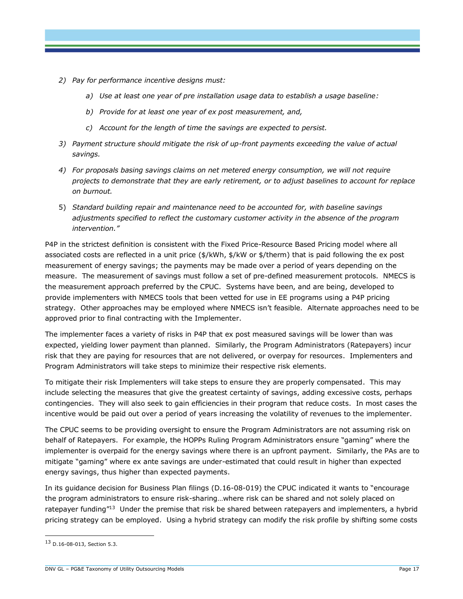- *2) Pay for performance incentive designs must:*
	- *a) Use at least one year of pre installation usage data to establish a usage baseline:*
	- *b) Provide for at least one year of ex post measurement, and,*
	- *c) Account for the length of time the savings are expected to persist.*
- *3) Payment structure should mitigate the risk of up-front payments exceeding the value of actual savings.*
- *4) For proposals basing savings claims on net metered energy consumption, we will not require projects to demonstrate that they are early retirement, or to adjust baselines to account for replace on burnout.*
- 5) *Standard building repair and maintenance need to be accounted for, with baseline savings adjustments specified to reflect the customary customer activity in the absence of the program intervention."*

P4P in the strictest definition is consistent with the Fixed Price-Resource Based Pricing model where all associated costs are reflected in a unit price (\$/kWh, \$/kW or \$/therm) that is paid following the ex post measurement of energy savings; the payments may be made over a period of years depending on the measure. The measurement of savings must follow a set of pre-defined measurement protocols. NMECS is the measurement approach preferred by the CPUC. Systems have been, and are being, developed to provide implementers with NMECS tools that been vetted for use in EE programs using a P4P pricing strategy. Other approaches may be employed where NMECS isn't feasible. Alternate approaches need to be approved prior to final contracting with the Implementer.

The implementer faces a variety of risks in P4P that ex post measured savings will be lower than was expected, yielding lower payment than planned. Similarly, the Program Administrators (Ratepayers) incur risk that they are paying for resources that are not delivered, or overpay for resources. Implementers and Program Administrators will take steps to minimize their respective risk elements.

To mitigate their risk Implementers will take steps to ensure they are properly compensated. This may include selecting the measures that give the greatest certainty of savings, adding excessive costs, perhaps contingencies. They will also seek to gain efficiencies in their program that reduce costs. In most cases the incentive would be paid out over a period of years increasing the volatility of revenues to the implementer.

The CPUC seems to be providing oversight to ensure the Program Administrators are not assuming risk on behalf of Ratepayers. For example, the HOPPs Ruling Program Administrators ensure "gaming" where the implementer is overpaid for the energy savings where there is an upfront payment. Similarly, the PAs are to mitigate "gaming" where ex ante savings are under-estimated that could result in higher than expected energy savings, thus higher than expected payments.

In its guidance decision for Business Plan filings (D.16-08-019) the CPUC indicated it wants to "encourage the program administrators to ensure risk-sharing…where risk can be shared and not solely placed on ratepayer funding"<sup>13</sup> Under the premise that risk be shared between ratepayers and implementers, a hybrid pricing strategy can be employed. Using a hybrid strategy can modify the risk profile by shifting some costs

<sup>13</sup> D.16-08-013, Section 5.3.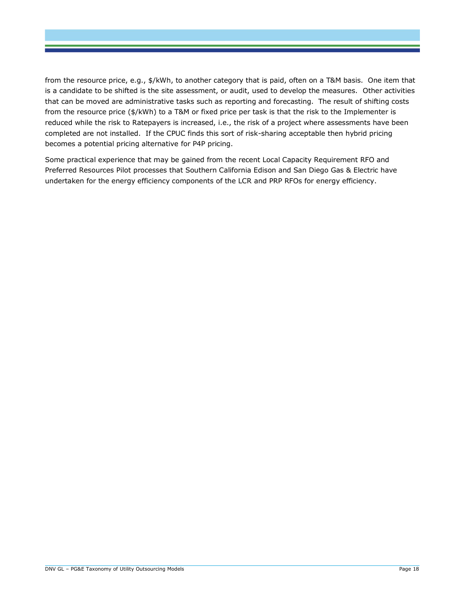from the resource price, e.g., \$/kWh, to another category that is paid, often on a T&M basis. One item that is a candidate to be shifted is the site assessment, or audit, used to develop the measures. Other activities that can be moved are administrative tasks such as reporting and forecasting. The result of shifting costs from the resource price (\$/kWh) to a T&M or fixed price per task is that the risk to the Implementer is reduced while the risk to Ratepayers is increased, i.e., the risk of a project where assessments have been completed are not installed. If the CPUC finds this sort of risk-sharing acceptable then hybrid pricing becomes a potential pricing alternative for P4P pricing.

Some practical experience that may be gained from the recent Local Capacity Requirement RFO and Preferred Resources Pilot processes that Southern California Edison and San Diego Gas & Electric have undertaken for the energy efficiency components of the LCR and PRP RFOs for energy efficiency.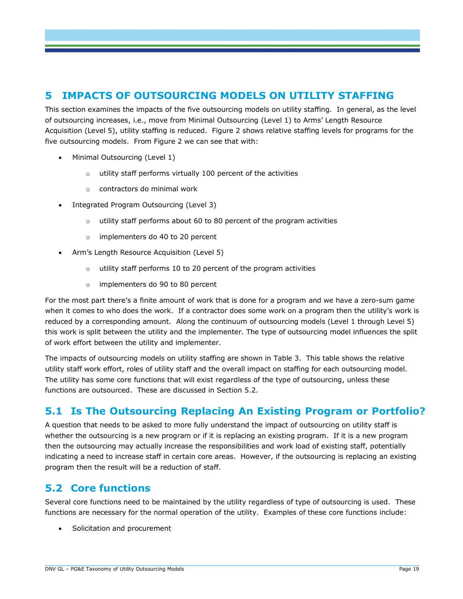#### <span id="page-22-0"></span>**5 IMPACTS OF OUTSOURCING MODELS ON UTILITY STAFFING**

This section examines the impacts of the five outsourcing models on utility staffing. In general, as the level of outsourcing increases, i.e., move from Minimal Outsourcing (Level 1) to Arms' Length Resource Acquisition (Level 5), utility staffing is reduced. [Figure 2](#page-25-0) shows relative staffing levels for programs for the five outsourcing models. From [Figure 2](#page-25-0) we can see that with:

- Minimal Outsourcing (Level 1)
	- o utility staff performs virtually 100 percent of the activities
	- o contractors do minimal work
- Integrated Program Outsourcing (Level 3)
	- utility staff performs about 60 to 80 percent of the program activities
	- o implementers do 40 to 20 percent
- Arm's Length Resource Acquisition (Level 5)
	- o utility staff performs 10 to 20 percent of the program activities
	- o implementers do 90 to 80 percent

For the most part there's a finite amount of work that is done for a program and we have a zero-sum game when it comes to who does the work. If a contractor does some work on a program then the utility's work is reduced by a corresponding amount. Along the continuum of outsourcing models (Level 1 through Level 5) this work is split between the utility and the implementer. The type of outsourcing model influences the split of work effort between the utility and implementer.

The impacts of outsourcing models on utility staffing are shown in [Table 3.](#page-26-0) This table shows the relative utility staff work effort, roles of utility staff and the overall impact on staffing for each outsourcing model. The utility has some core functions that will exist regardless of the type of outsourcing, unless these functions are outsourced. These are discussed in Section [5.2.](#page-22-1)

#### **5.1 Is The Outsourcing Replacing An Existing Program or Portfolio?**

A question that needs to be asked to more fully understand the impact of outsourcing on utility staff is whether the outsourcing is a new program or if it is replacing an existing program. If it is a new program then the outsourcing may actually increase the responsibilities and work load of existing staff, potentially indicating a need to increase staff in certain core areas. However, if the outsourcing is replacing an existing program then the result will be a reduction of staff.

#### <span id="page-22-1"></span>**5.2 Core functions**

Several core functions need to be maintained by the utility regardless of type of outsourcing is used. These functions are necessary for the normal operation of the utility. Examples of these core functions include:

• Solicitation and procurement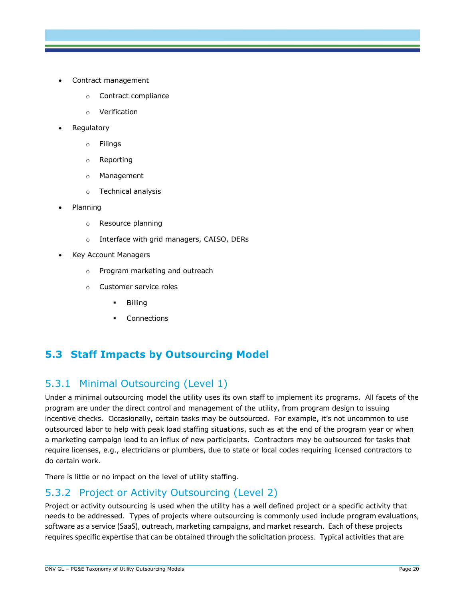- Contract management
	- o Contract compliance
	- o Verification
- Regulatory
	- o Filings
	- o Reporting
	- o Management
	- o Technical analysis
- Planning
	- o Resource planning
	- o Interface with grid managers, CAISO, DERs
- Key Account Managers
	- o Program marketing and outreach
	- o Customer service roles
		- Billing
		- Connections

#### **5.3 Staff Impacts by Outsourcing Model**

#### 5.3.1 Minimal Outsourcing (Level 1)

Under a minimal outsourcing model the utility uses its own staff to implement its programs. All facets of the program are under the direct control and management of the utility, from program design to issuing incentive checks. Occasionally, certain tasks may be outsourced. For example, it's not uncommon to use outsourced labor to help with peak load staffing situations, such as at the end of the program year or when a marketing campaign lead to an influx of new participants. Contractors may be outsourced for tasks that require licenses, e.g., electricians or plumbers, due to state or local codes requiring licensed contractors to do certain work.

There is little or no impact on the level of utility staffing.

#### 5.3.2 Project or Activity Outsourcing (Level 2)

Project or activity outsourcing is used when the utility has a well defined project or a specific activity that needs to be addressed. Types of projects where outsourcing is commonly used include program evaluations, software as a service (SaaS), outreach, marketing campaigns, and market research. Each of these projects requires specific expertise that can be obtained through the solicitation process. Typical activities that are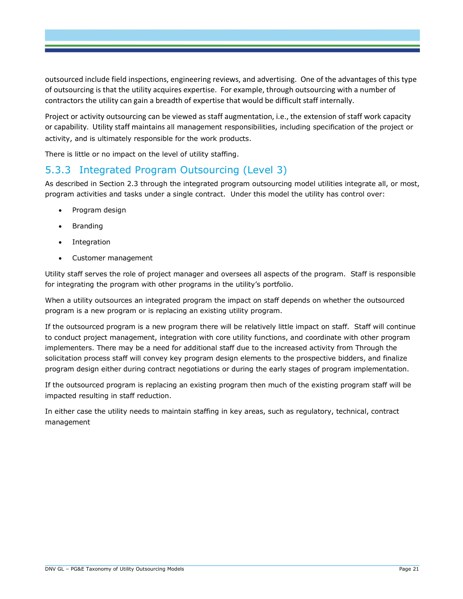outsourced include field inspections, engineering reviews, and advertising. One of the advantages of this type of outsourcing is that the utility acquires expertise. For example, through outsourcing with a number of contractors the utility can gain a breadth of expertise that would be difficult staff internally.

Project or activity outsourcing can be viewed as staff augmentation, i.e., the extension of staff work capacity or capability. Utility staff maintains all management responsibilities, including specification of the project or activity, and is ultimately responsible for the work products.

There is little or no impact on the level of utility staffing.

#### 5.3.3 Integrated Program Outsourcing (Level 3)

As described in Section [2.3](#page-8-0) through the integrated program outsourcing model utilities integrate all, or most, program activities and tasks under a single contract. Under this model the utility has control over:

- Program design
- Branding
- Integration
- Customer management

Utility staff serves the role of project manager and oversees all aspects of the program. Staff is responsible for integrating the program with other programs in the utility's portfolio.

When a utility outsources an integrated program the impact on staff depends on whether the outsourced program is a new program or is replacing an existing utility program.

If the outsourced program is a new program there will be relatively little impact on staff. Staff will continue to conduct project management, integration with core utility functions, and coordinate with other program implementers. There may be a need for additional staff due to the increased activity from Through the solicitation process staff will convey key program design elements to the prospective bidders, and finalize program design either during contract negotiations or during the early stages of program implementation.

If the outsourced program is replacing an existing program then much of the existing program staff will be impacted resulting in staff reduction.

In either case the utility needs to maintain staffing in key areas, such as regulatory, technical, contract management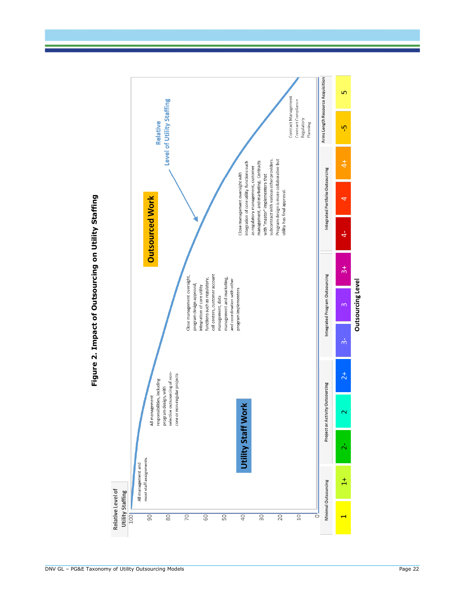<span id="page-25-0"></span>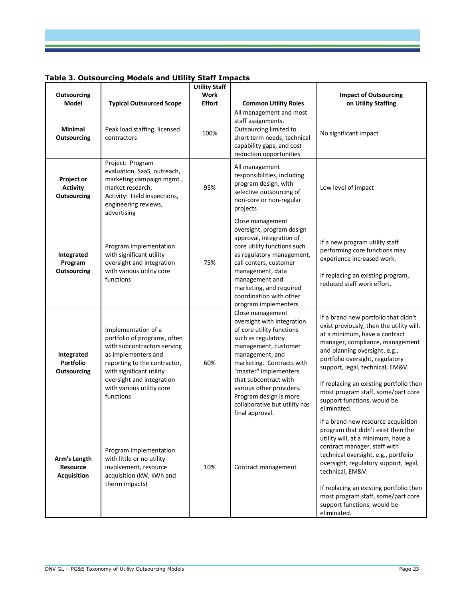<span id="page-26-0"></span>

|  |  | Table 3. Outsourcing Models and Utility Staff Impacts |  |
|--|--|-------------------------------------------------------|--|
|  |  |                                                       |  |

|                                                       |                                                                                                                                                                                                                                              | <b>Utility Staff</b>  |                                                                                                                                                                                                                                                                                                                                       |                                                                                                                                                                                                                                                                                                                                                                                             |
|-------------------------------------------------------|----------------------------------------------------------------------------------------------------------------------------------------------------------------------------------------------------------------------------------------------|-----------------------|---------------------------------------------------------------------------------------------------------------------------------------------------------------------------------------------------------------------------------------------------------------------------------------------------------------------------------------|---------------------------------------------------------------------------------------------------------------------------------------------------------------------------------------------------------------------------------------------------------------------------------------------------------------------------------------------------------------------------------------------|
| <b>Outsourcing</b>                                    |                                                                                                                                                                                                                                              | Work                  |                                                                                                                                                                                                                                                                                                                                       | <b>Impact of Outsourcing</b>                                                                                                                                                                                                                                                                                                                                                                |
| <b>Model</b><br><b>Minimal</b><br><b>Outsourcing</b>  | <b>Typical Outsourced Scope</b><br>Peak load staffing, licensed<br>contractors                                                                                                                                                               | <b>Effort</b><br>100% | <b>Common Utility Roles</b><br>All management and most<br>staff assignments.<br>Outsourcing limited to<br>short term needs, technical<br>capability gaps, and cost<br>reduction opportunities                                                                                                                                         | on Utility Staffing<br>No significant impact                                                                                                                                                                                                                                                                                                                                                |
| Project or<br><b>Activity</b><br><b>Outsourcing</b>   | Project: Program<br>evaluation, SaaS, outreach,<br>marketing campaign mgmt.,<br>market research,<br>Activity: Field inspections,<br>engineering reviews,<br>advertising                                                                      | 95%                   | All management<br>responsibilities, including<br>program design, with<br>selective outsourcing of<br>non-core or non-regular<br>projects                                                                                                                                                                                              | Low level of impact                                                                                                                                                                                                                                                                                                                                                                         |
| Integrated<br>Program<br><b>Outsourcing</b>           | Program Implementation<br>with significant utility<br>oversight and integration<br>with various utility core<br>functions                                                                                                                    | 75%                   | Close management<br>oversight, program design<br>approval, integration of<br>core utility functions such<br>as regulatory management,<br>call centers, customer<br>management, data<br>management and<br>marketing, and required<br>coordination with other<br>program implementers                                                   | If a new program utility staff<br>performing core functions may<br>experience increased work.<br>If replacing an existing program,<br>reduced staff work effort.                                                                                                                                                                                                                            |
| Integrated<br>Portfolio<br><b>Outsourcing</b>         | Implementation of a<br>portfolio of programs, often<br>with subcontractors serving<br>as implementers and<br>reporting to the contractor,<br>with significant utility<br>oversight and integration<br>with various utility core<br>functions | 60%                   | Close management<br>oversight with integration<br>of core utility functions<br>such as regulatory<br>management, customer<br>management, and<br>marketing. Contracts with<br>"master" implementers<br>that subcontract with<br>various other providers.<br>Program design is more<br>collaborative but utility has<br>final approval. | If a brand new portfolio that didn't<br>exist previously, then the utility will,<br>at a minimum, have a contract<br>manager, compliance, management<br>and planning oversight, e.g.,<br>portfolio oversight, regulatory<br>support, legal, technical, EM&V.<br>If replacing an existing portfolio then<br>most program staff, some/part core<br>support functions, would be<br>eliminated. |
| Arm's Length<br><b>Resource</b><br><b>Acquisition</b> | Program Implementation<br>with little or no utility<br>involvement, resource<br>acquisition (kW, kWh and<br>therm impacts)                                                                                                                   | 10%                   | Contract management                                                                                                                                                                                                                                                                                                                   | If a brand new resource acquisition<br>program that didn't exist then the<br>utility will, at a minimum, have a<br>contract manager, staff with<br>technical oversight, e.g., portfolio<br>oversight, regulatory support, legal,<br>technical, EM&V.<br>If replacing an existing portfolio then<br>most program staff, some/part core<br>support functions, would be<br>eliminated.         |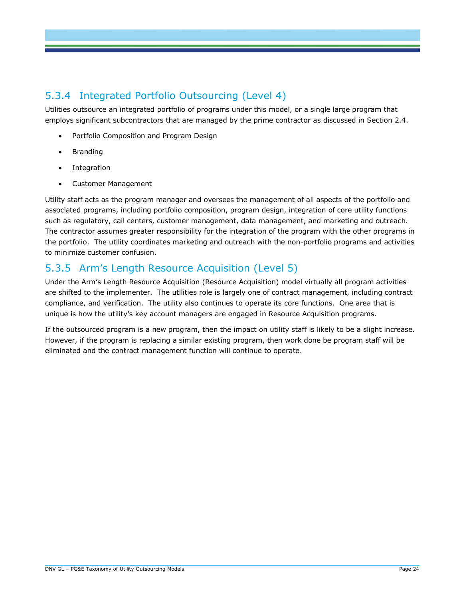### 5.3.4 Integrated Portfolio Outsourcing (Level 4)

Utilities outsource an integrated portfolio of programs under this model, or a single large program that employs significant subcontractors that are managed by the prime contractor as discussed in Section [2.4.](#page-9-0)

- Portfolio Composition and Program Design
- Branding
- Integration
- Customer Management

Utility staff acts as the program manager and oversees the management of all aspects of the portfolio and associated programs, including portfolio composition, program design, integration of core utility functions such as regulatory, call centers, customer management, data management, and marketing and outreach. The contractor assumes greater responsibility for the integration of the program with the other programs in the portfolio. The utility coordinates marketing and outreach with the non-portfolio programs and activities to minimize customer confusion.

#### 5.3.5 Arm's Length Resource Acquisition (Level 5)

Under the Arm's Length Resource Acquisition (Resource Acquisition) model virtually all program activities are shifted to the implementer. The utilities role is largely one of contract management, including contract compliance, and verification. The utility also continues to operate its core functions. One area that is unique is how the utility's key account managers are engaged in Resource Acquisition programs.

If the outsourced program is a new program, then the impact on utility staff is likely to be a slight increase. However, if the program is replacing a similar existing program, then work done be program staff will be eliminated and the contract management function will continue to operate.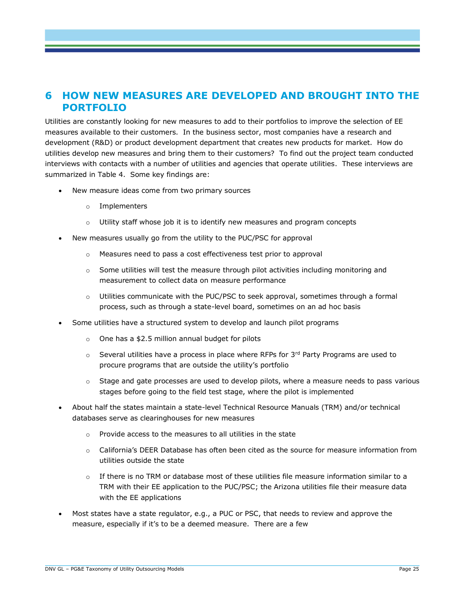#### **6 HOW NEW MEASURES ARE DEVELOPED AND BROUGHT INTO THE PORTFOLIO**

Utilities are constantly looking for new measures to add to their portfolios to improve the selection of EE measures available to their customers. In the business sector, most companies have a research and development (R&D) or product development department that creates new products for market. How do utilities develop new measures and bring them to their customers? To find out the project team conducted interviews with contacts with a number of utilities and agencies that operate utilities. These interviews are summarized in [Table 4.](#page-29-0) Some key findings are:

- New measure ideas come from two primary sources
	- o Implementers
	- o Utility staff whose job it is to identify new measures and program concepts
- New measures usually go from the utility to the PUC/PSC for approval
	- o Measures need to pass a cost effectiveness test prior to approval
	- $\circ$  Some utilities will test the measure through pilot activities including monitoring and measurement to collect data on measure performance
	- $\circ$  Utilities communicate with the PUC/PSC to seek approval, sometimes through a formal process, such as through a state-level board, sometimes on an ad hoc basis
- Some utilities have a structured system to develop and launch pilot programs
	- o One has a \$2.5 million annual budget for pilots
	- $\circ$  Several utilities have a process in place where RFPs for 3<sup>rd</sup> Party Programs are used to procure programs that are outside the utility's portfolio
	- $\circ$  Stage and gate processes are used to develop pilots, where a measure needs to pass various stages before going to the field test stage, where the pilot is implemented
- About half the states maintain a state-level Technical Resource Manuals (TRM) and/or technical databases serve as clearinghouses for new measures
	- o Provide access to the measures to all utilities in the state
	- o California's DEER Database has often been cited as the source for measure information from utilities outside the state
	- $\circ$  If there is no TRM or database most of these utilities file measure information similar to a TRM with their EE application to the PUC/PSC; the Arizona utilities file their measure data with the EE applications
- Most states have a state regulator, e.g., a PUC or PSC, that needs to review and approve the measure, especially if it's to be a deemed measure. There are a few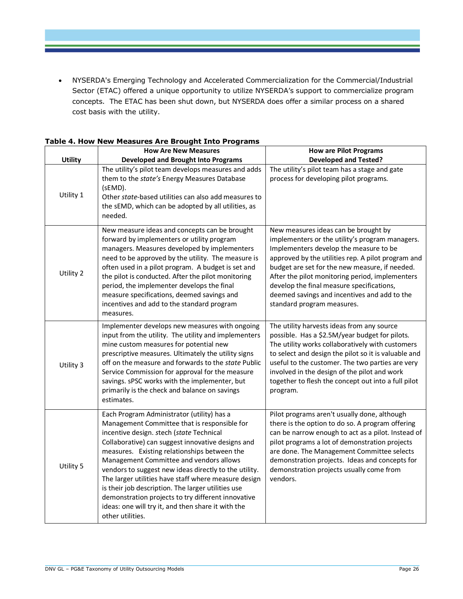NYSERDA's Emerging Technology and Accelerated Commercialization for the Commercial/Industrial Sector (ETAC) offered a unique opportunity to utilize NYSERDA's support to commercialize program concepts. The ETAC has been shut down, but NYSERDA does offer a similar process on a shared cost basis with the utility.

|                | <b>How Are New Measures</b>                                                                                                                                                                                                                                                                                                                                                                                                                                                                                                                                                                   | <b>How are Pilot Programs</b>                                                                                                                                                                                                                                                                                                                                                                                           |
|----------------|-----------------------------------------------------------------------------------------------------------------------------------------------------------------------------------------------------------------------------------------------------------------------------------------------------------------------------------------------------------------------------------------------------------------------------------------------------------------------------------------------------------------------------------------------------------------------------------------------|-------------------------------------------------------------------------------------------------------------------------------------------------------------------------------------------------------------------------------------------------------------------------------------------------------------------------------------------------------------------------------------------------------------------------|
| <b>Utility</b> | <b>Developed and Brought Into Programs</b>                                                                                                                                                                                                                                                                                                                                                                                                                                                                                                                                                    | <b>Developed and Tested?</b>                                                                                                                                                                                                                                                                                                                                                                                            |
| Utility 1      | The utility's pilot team develops measures and adds<br>them to the state's Energy Measures Database<br>(sEMD).<br>Other state-based utilities can also add measures to<br>the sEMD, which can be adopted by all utilities, as<br>needed.                                                                                                                                                                                                                                                                                                                                                      | The utility's pilot team has a stage and gate<br>process for developing pilot programs.                                                                                                                                                                                                                                                                                                                                 |
| Utility 2      | New measure ideas and concepts can be brought<br>forward by implementers or utility program<br>managers. Measures developed by implementers<br>need to be approved by the utility. The measure is<br>often used in a pilot program. A budget is set and<br>the pilot is conducted. After the pilot monitoring<br>period, the implementer develops the final<br>measure specifications, deemed savings and<br>incentives and add to the standard program<br>measures.                                                                                                                          | New measures ideas can be brought by<br>implementers or the utility's program managers.<br>Implementers develop the measure to be<br>approved by the utilities rep. A pilot program and<br>budget are set for the new measure, if needed.<br>After the pilot monitoring period, implementers<br>develop the final measure specifications,<br>deemed savings and incentives and add to the<br>standard program measures. |
| Utility 3      | Implementer develops new measures with ongoing<br>input from the utility. The utility and implementers<br>mine custom measures for potential new<br>prescriptive measures. Ultimately the utility signs<br>off on the measure and forwards to the state Public<br>Service Commission for approval for the measure<br>savings. sPSC works with the implementer, but<br>primarily is the check and balance on savings<br>estimates.                                                                                                                                                             | The utility harvests ideas from any source<br>possible. Has a \$2.5M/year budget for pilots.<br>The utility works collaboratively with customers<br>to select and design the pilot so it is valuable and<br>useful to the customer. The two parties are very<br>involved in the design of the pilot and work<br>together to flesh the concept out into a full pilot<br>program.                                         |
| Utility 5      | Each Program Administrator (utility) has a<br>Management Committee that is responsible for<br>incentive design. stech (state Technical<br>Collaborative) can suggest innovative designs and<br>measures. Existing relationships between the<br>Management Committee and vendors allows<br>vendors to suggest new ideas directly to the utility.<br>The larger utilities have staff where measure design<br>is their job description. The larger utilities use<br>demonstration projects to try different innovative<br>ideas: one will try it, and then share it with the<br>other utilities. | Pilot programs aren't usually done, although<br>there is the option to do so. A program offering<br>can be narrow enough to act as a pilot. Instead of<br>pilot programs a lot of demonstration projects<br>are done. The Management Committee selects<br>demonstration projects. Ideas and concepts for<br>demonstration projects usually come from<br>vendors.                                                        |

<span id="page-29-0"></span>**Table 4. How New Measures Are Brought Into Programs**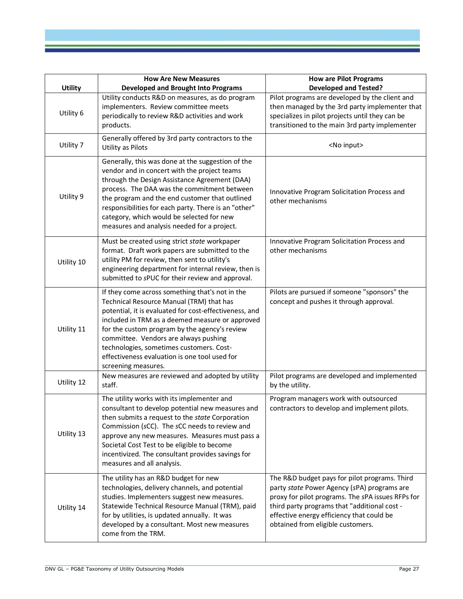|                | <b>How Are New Measures</b>                                                                                                                                                                                                                                                                                                                                                                                            | <b>How are Pilot Programs</b>                                                                                                                                                                                                                                                       |
|----------------|------------------------------------------------------------------------------------------------------------------------------------------------------------------------------------------------------------------------------------------------------------------------------------------------------------------------------------------------------------------------------------------------------------------------|-------------------------------------------------------------------------------------------------------------------------------------------------------------------------------------------------------------------------------------------------------------------------------------|
| <b>Utility</b> | <b>Developed and Brought Into Programs</b>                                                                                                                                                                                                                                                                                                                                                                             | <b>Developed and Tested?</b>                                                                                                                                                                                                                                                        |
| Utility 6      | Utility conducts R&D on measures, as do program<br>implementers. Review committee meets<br>periodically to review R&D activities and work<br>products.                                                                                                                                                                                                                                                                 | Pilot programs are developed by the client and<br>then managed by the 3rd party implementer that<br>specializes in pilot projects until they can be<br>transitioned to the main 3rd party implementer                                                                               |
| Utility 7      | Generally offered by 3rd party contractors to the<br><b>Utility as Pilots</b>                                                                                                                                                                                                                                                                                                                                          | <no input=""></no>                                                                                                                                                                                                                                                                  |
| Utility 9      | Generally, this was done at the suggestion of the<br>vendor and in concert with the project teams<br>through the Design Assistance Agreement (DAA)<br>process. The DAA was the commitment between<br>the program and the end customer that outlined<br>responsibilities for each party. There is an "other"<br>category, which would be selected for new<br>measures and analysis needed for a project.                | Innovative Program Solicitation Process and<br>other mechanisms                                                                                                                                                                                                                     |
| Utility 10     | Must be created using strict state workpaper<br>format. Draft work papers are submitted to the<br>utility PM for review, then sent to utility's<br>engineering department for internal review, then is<br>submitted to sPUC for their review and approval.                                                                                                                                                             | Innovative Program Solicitation Process and<br>other mechanisms                                                                                                                                                                                                                     |
| Utility 11     | If they come across something that's not in the<br>Technical Resource Manual (TRM) that has<br>potential, it is evaluated for cost-effectiveness, and<br>included in TRM as a deemed measure or approved<br>for the custom program by the agency's review<br>committee. Vendors are always pushing<br>technologies, sometimes customers. Cost-<br>effectiveness evaluation is one tool used for<br>screening measures. | Pilots are pursued if someone "sponsors" the<br>concept and pushes it through approval.                                                                                                                                                                                             |
| Utility 12     | New measures are reviewed and adopted by utility<br>staff.                                                                                                                                                                                                                                                                                                                                                             | Pilot programs are developed and implemented<br>by the utility.                                                                                                                                                                                                                     |
| Utility 13     | The utility works with its implementer and<br>consultant to develop potential new measures and<br>then submits a request to the state Corporation<br>Commission (sCC). The sCC needs to review and<br>approve any new measures. Measures must pass a<br>Societal Cost Test to be eligible to become<br>incentivized. The consultant provides savings for<br>measures and all analysis.                                 | Program managers work with outsourced<br>contractors to develop and implement pilots.                                                                                                                                                                                               |
| Utility 14     | The utility has an R&D budget for new<br>technologies, delivery channels, and potential<br>studies. Implementers suggest new measures.<br>Statewide Technical Resource Manual (TRM), paid<br>for by utilities, is updated annually. It was<br>developed by a consultant. Most new measures<br>come from the TRM.                                                                                                       | The R&D budget pays for pilot programs. Third<br>party state Power Agency (sPA) programs are<br>proxy for pilot programs. The sPA issues RFPs for<br>third party programs that "additional cost -<br>effective energy efficiency that could be<br>obtained from eligible customers. |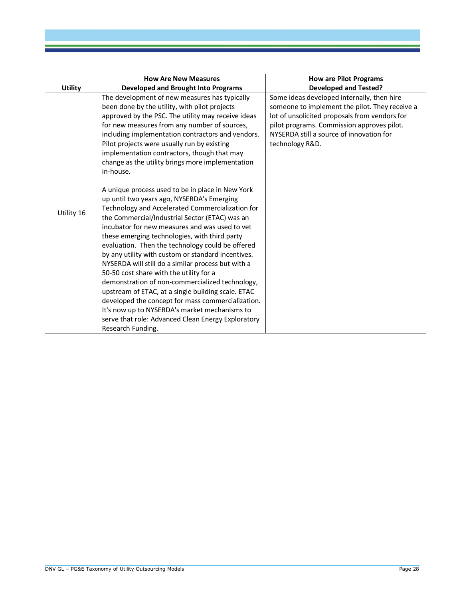|                | <b>How Are New Measures</b>                                                                                                                                                                                                                                                                                                                                                                                                                                                                                                                                                                                                                                                                                                                                                                                  | <b>How are Pilot Programs</b>                                                                                                                                                                                                                              |
|----------------|--------------------------------------------------------------------------------------------------------------------------------------------------------------------------------------------------------------------------------------------------------------------------------------------------------------------------------------------------------------------------------------------------------------------------------------------------------------------------------------------------------------------------------------------------------------------------------------------------------------------------------------------------------------------------------------------------------------------------------------------------------------------------------------------------------------|------------------------------------------------------------------------------------------------------------------------------------------------------------------------------------------------------------------------------------------------------------|
| <b>Utility</b> | <b>Developed and Brought Into Programs</b>                                                                                                                                                                                                                                                                                                                                                                                                                                                                                                                                                                                                                                                                                                                                                                   | <b>Developed and Tested?</b>                                                                                                                                                                                                                               |
|                | The development of new measures has typically<br>been done by the utility, with pilot projects<br>approved by the PSC. The utility may receive ideas<br>for new measures from any number of sources,<br>including implementation contractors and vendors.<br>Pilot projects were usually run by existing<br>implementation contractors, though that may<br>change as the utility brings more implementation<br>in-house.                                                                                                                                                                                                                                                                                                                                                                                     | Some ideas developed internally, then hire<br>someone to implement the pilot. They receive a<br>lot of unsolicited proposals from vendors for<br>pilot programs. Commission approves pilot.<br>NYSERDA still a source of innovation for<br>technology R&D. |
| Utility 16     | A unique process used to be in place in New York<br>up until two years ago, NYSERDA's Emerging<br>Technology and Accelerated Commercialization for<br>the Commercial/Industrial Sector (ETAC) was an<br>incubator for new measures and was used to vet<br>these emerging technologies, with third party<br>evaluation. Then the technology could be offered<br>by any utility with custom or standard incentives.<br>NYSERDA will still do a similar process but with a<br>50-50 cost share with the utility for a<br>demonstration of non-commercialized technology,<br>upstream of ETAC, at a single building scale. ETAC<br>developed the concept for mass commercialization.<br>It's now up to NYSERDA's market mechanisms to<br>serve that role: Advanced Clean Energy Exploratory<br>Research Funding. |                                                                                                                                                                                                                                                            |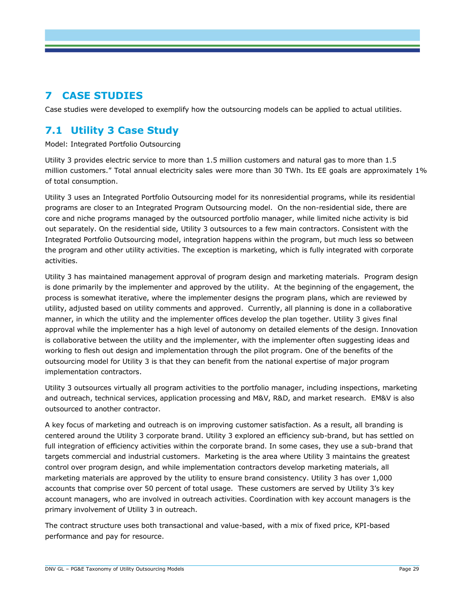#### **7 CASE STUDIES**

Case studies were developed to exemplify how the outsourcing models can be applied to actual utilities.

#### **7.1 Utility 3 Case Study**

Model: Integrated Portfolio Outsourcing

Utility 3 provides electric service to more than 1.5 million customers and natural gas to more than 1.5 million customers." Total annual electricity sales were more than 30 TWh. Its EE goals are approximately 1% of total consumption.

Utility 3 uses an Integrated Portfolio Outsourcing model for its nonresidential programs, while its residential programs are closer to an Integrated Program Outsourcing model. On the non-residential side, there are core and niche programs managed by the outsourced portfolio manager, while limited niche activity is bid out separately. On the residential side, Utility 3 outsources to a few main contractors. Consistent with the Integrated Portfolio Outsourcing model, integration happens within the program, but much less so between the program and other utility activities. The exception is marketing, which is fully integrated with corporate activities.

Utility 3 has maintained management approval of program design and marketing materials. Program design is done primarily by the implementer and approved by the utility. At the beginning of the engagement, the process is somewhat iterative, where the implementer designs the program plans, which are reviewed by utility, adjusted based on utility comments and approved. Currently, all planning is done in a collaborative manner, in which the utility and the implementer offices develop the plan together. Utility 3 gives final approval while the implementer has a high level of autonomy on detailed elements of the design. Innovation is collaborative between the utility and the implementer, with the implementer often suggesting ideas and working to flesh out design and implementation through the pilot program. One of the benefits of the outsourcing model for Utility 3 is that they can benefit from the national expertise of major program implementation contractors.

Utility 3 outsources virtually all program activities to the portfolio manager, including inspections, marketing and outreach, technical services, application processing and M&V, R&D, and market research. EM&V is also outsourced to another contractor.

A key focus of marketing and outreach is on improving customer satisfaction. As a result, all branding is centered around the Utility 3 corporate brand. Utility 3 explored an efficiency sub-brand, but has settled on full integration of efficiency activities within the corporate brand. In some cases, they use a sub-brand that targets commercial and industrial customers. Marketing is the area where Utility 3 maintains the greatest control over program design, and while implementation contractors develop marketing materials, all marketing materials are approved by the utility to ensure brand consistency. Utility 3 has over 1,000 accounts that comprise over 50 percent of total usage. These customers are served by Utility 3's key account managers, who are involved in outreach activities. Coordination with key account managers is the primary involvement of Utility 3 in outreach.

The contract structure uses both transactional and value-based, with a mix of fixed price, KPI-based performance and pay for resource.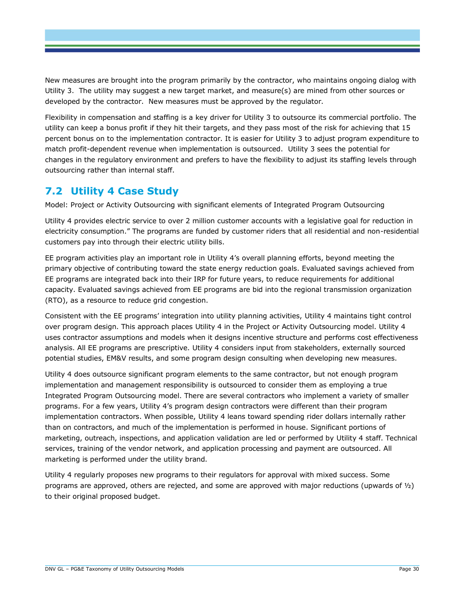New measures are brought into the program primarily by the contractor, who maintains ongoing dialog with Utility 3. The utility may suggest a new target market, and measure(s) are mined from other sources or developed by the contractor. New measures must be approved by the regulator.

Flexibility in compensation and staffing is a key driver for Utility 3 to outsource its commercial portfolio. The utility can keep a bonus profit if they hit their targets, and they pass most of the risk for achieving that 15 percent bonus on to the implementation contractor. It is easier for Utility 3 to adjust program expenditure to match profit-dependent revenue when implementation is outsourced. Utility 3 sees the potential for changes in the regulatory environment and prefers to have the flexibility to adjust its staffing levels through outsourcing rather than internal staff.

#### **7.2 Utility 4 Case Study**

Model: Project or Activity Outsourcing with significant elements of Integrated Program Outsourcing

Utility 4 provides electric service to over 2 million customer accounts with a legislative goal for reduction in electricity consumption." The programs are funded by customer riders that all residential and non-residential customers pay into through their electric utility bills.

EE program activities play an important role in Utility 4's overall planning efforts, beyond meeting the primary objective of contributing toward the state energy reduction goals. Evaluated savings achieved from EE programs are integrated back into their IRP for future years, to reduce requirements for additional capacity. Evaluated savings achieved from EE programs are bid into the regional transmission organization (RTO), as a resource to reduce grid congestion.

Consistent with the EE programs' integration into utility planning activities, Utility 4 maintains tight control over program design. This approach places Utility 4 in the Project or Activity Outsourcing model. Utility 4 uses contractor assumptions and models when it designs incentive structure and performs cost effectiveness analysis. All EE programs are prescriptive. Utility 4 considers input from stakeholders, externally sourced potential studies, EM&V results, and some program design consulting when developing new measures.

Utility 4 does outsource significant program elements to the same contractor, but not enough program implementation and management responsibility is outsourced to consider them as employing a true Integrated Program Outsourcing model. There are several contractors who implement a variety of smaller programs. For a few years, Utility 4's program design contractors were different than their program implementation contractors. When possible, Utility 4 leans toward spending rider dollars internally rather than on contractors, and much of the implementation is performed in house. Significant portions of marketing, outreach, inspections, and application validation are led or performed by Utility 4 staff. Technical services, training of the vendor network, and application processing and payment are outsourced. All marketing is performed under the utility brand.

Utility 4 regularly proposes new programs to their regulators for approval with mixed success. Some programs are approved, others are rejected, and some are approved with major reductions (upwards of  $\frac{1}{2}$ ) to their original proposed budget.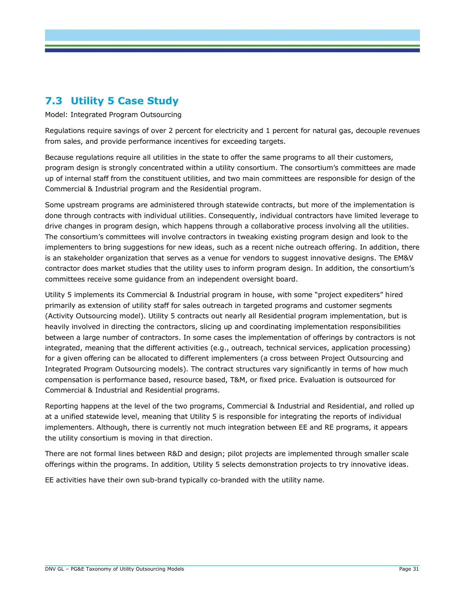#### **7.3 Utility 5 Case Study**

Model: Integrated Program Outsourcing

Regulations require savings of over 2 percent for electricity and 1 percent for natural gas, decouple revenues from sales, and provide performance incentives for exceeding targets.

Because regulations require all utilities in the state to offer the same programs to all their customers, program design is strongly concentrated within a utility consortium. The consortium's committees are made up of internal staff from the constituent utilities, and two main committees are responsible for design of the Commercial & Industrial program and the Residential program.

Some upstream programs are administered through statewide contracts, but more of the implementation is done through contracts with individual utilities. Consequently, individual contractors have limited leverage to drive changes in program design, which happens through a collaborative process involving all the utilities. The consortium's committees will involve contractors in tweaking existing program design and look to the implementers to bring suggestions for new ideas, such as a recent niche outreach offering. In addition, there is an stakeholder organization that serves as a venue for vendors to suggest innovative designs. The EM&V contractor does market studies that the utility uses to inform program design. In addition, the consortium's committees receive some guidance from an independent oversight board.

Utility 5 implements its Commercial & Industrial program in house, with some "project expediters" hired primarily as extension of utility staff for sales outreach in targeted programs and customer segments (Activity Outsourcing model). Utility 5 contracts out nearly all Residential program implementation, but is heavily involved in directing the contractors, slicing up and coordinating implementation responsibilities between a large number of contractors. In some cases the implementation of offerings by contractors is not integrated, meaning that the different activities (e.g., outreach, technical services, application processing) for a given offering can be allocated to different implementers (a cross between Project Outsourcing and Integrated Program Outsourcing models). The contract structures vary significantly in terms of how much compensation is performance based, resource based, T&M, or fixed price. Evaluation is outsourced for Commercial & Industrial and Residential programs.

Reporting happens at the level of the two programs, Commercial & Industrial and Residential, and rolled up at a unified statewide level, meaning that Utility 5 is responsible for integrating the reports of individual implementers. Although, there is currently not much integration between EE and RE programs, it appears the utility consortium is moving in that direction.

There are not formal lines between R&D and design; pilot projects are implemented through smaller scale offerings within the programs. In addition, Utility 5 selects demonstration projects to try innovative ideas.

EE activities have their own sub-brand typically co-branded with the utility name.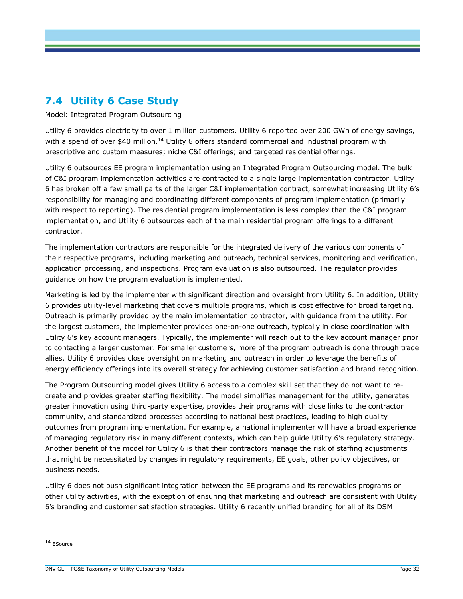#### **7.4 Utility 6 Case Study**

Model: Integrated Program Outsourcing

Utility 6 provides electricity to over 1 million customers. Utility 6 reported over 200 GWh of energy savings, with a spend of over  $$40$  million.<sup>14</sup> Utility 6 offers standard commercial and industrial program with prescriptive and custom measures; niche C&I offerings; and targeted residential offerings.

Utility 6 outsources EE program implementation using an Integrated Program Outsourcing model. The bulk of C&I program implementation activities are contracted to a single large implementation contractor. Utility 6 has broken off a few small parts of the larger C&I implementation contract, somewhat increasing Utility 6's responsibility for managing and coordinating different components of program implementation (primarily with respect to reporting). The residential program implementation is less complex than the C&I program implementation, and Utility 6 outsources each of the main residential program offerings to a different contractor.

The implementation contractors are responsible for the integrated delivery of the various components of their respective programs, including marketing and outreach, technical services, monitoring and verification, application processing, and inspections. Program evaluation is also outsourced. The regulator provides guidance on how the program evaluation is implemented.

Marketing is led by the implementer with significant direction and oversight from Utility 6. In addition, Utility 6 provides utility-level marketing that covers multiple programs, which is cost effective for broad targeting. Outreach is primarily provided by the main implementation contractor, with guidance from the utility. For the largest customers, the implementer provides one-on-one outreach, typically in close coordination with Utility 6's key account managers. Typically, the implementer will reach out to the key account manager prior to contacting a larger customer. For smaller customers, more of the program outreach is done through trade allies. Utility 6 provides close oversight on marketing and outreach in order to leverage the benefits of energy efficiency offerings into its overall strategy for achieving customer satisfaction and brand recognition.

The Program Outsourcing model gives Utility 6 access to a complex skill set that they do not want to recreate and provides greater staffing flexibility. The model simplifies management for the utility, generates greater innovation using third-party expertise, provides their programs with close links to the contractor community, and standardized processes according to national best practices, leading to high quality outcomes from program implementation. For example, a national implementer will have a broad experience of managing regulatory risk in many different contexts, which can help guide Utility 6's regulatory strategy. Another benefit of the model for Utility 6 is that their contractors manage the risk of staffing adjustments that might be necessitated by changes in regulatory requirements, EE goals, other policy objectives, or business needs.

Utility 6 does not push significant integration between the EE programs and its renewables programs or other utility activities, with the exception of ensuring that marketing and outreach are consistent with Utility 6's branding and customer satisfaction strategies. Utility 6 recently unified branding for all of its DSM

<sup>14</sup> ESource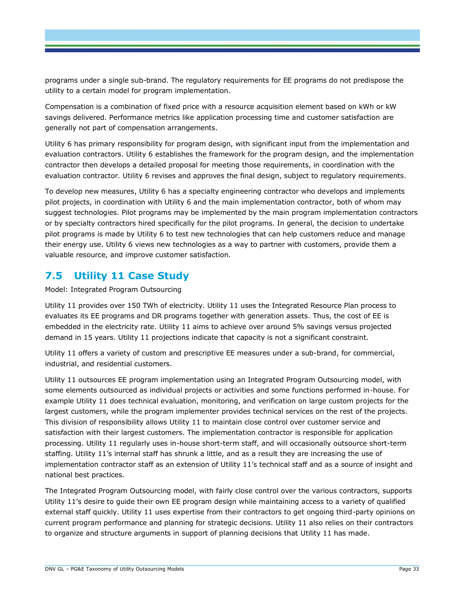programs under a single sub-brand. The regulatory requirements for EE programs do not predispose the utility to a certain model for program implementation.

Compensation is a combination of fixed price with a resource acquisition element based on kWh or kW savings delivered. Performance metrics like application processing time and customer satisfaction are generally not part of compensation arrangements.

Utility 6 has primary responsibility for program design, with significant input from the implementation and evaluation contractors. Utility 6 establishes the framework for the program design, and the implementation contractor then develops a detailed proposal for meeting those requirements, in coordination with the evaluation contractor. Utility 6 revises and approves the final design, subject to regulatory requirements.

To develop new measures, Utility 6 has a specialty engineering contractor who develops and implements pilot projects, in coordination with Utility 6 and the main implementation contractor, both of whom may suggest technologies. Pilot programs may be implemented by the main program implementation contractors or by specialty contractors hired specifically for the pilot programs. In general, the decision to undertake pilot programs is made by Utility 6 to test new technologies that can help customers reduce and manage their energy use. Utility 6 views new technologies as a way to partner with customers, provide them a valuable resource, and improve customer satisfaction.

#### **7.5 Utility 11 Case Study**

Model: Integrated Program Outsourcing

Utility 11 provides over 150 TWh of electricity. Utility 11 uses the Integrated Resource Plan process to evaluates its EE programs and DR programs together with generation assets. Thus, the cost of EE is embedded in the electricity rate. Utility 11 aims to achieve over around 5% savings versus projected demand in 15 years. Utility 11 projections indicate that capacity is not a significant constraint.

Utility 11 offers a variety of custom and prescriptive EE measures under a sub-brand, for commercial, industrial, and residential customers.

Utility 11 outsources EE program implementation using an Integrated Program Outsourcing model, with some elements outsourced as individual projects or activities and some functions performed in-house. For example Utility 11 does technical evaluation, monitoring, and verification on large custom projects for the largest customers, while the program implementer provides technical services on the rest of the projects. This division of responsibility allows Utility 11 to maintain close control over customer service and satisfaction with their largest customers. The implementation contractor is responsible for application processing. Utility 11 regularly uses in-house short-term staff, and will occasionally outsource short-term staffing. Utility 11's internal staff has shrunk a little, and as a result they are increasing the use of implementation contractor staff as an extension of Utility 11's technical staff and as a source of insight and national best practices.

The Integrated Program Outsourcing model, with fairly close control over the various contractors, supports Utility 11's desire to guide their own EE program design while maintaining access to a variety of qualified external staff quickly. Utility 11 uses expertise from their contractors to get ongoing third-party opinions on current program performance and planning for strategic decisions. Utility 11 also relies on their contractors to organize and structure arguments in support of planning decisions that Utility 11 has made.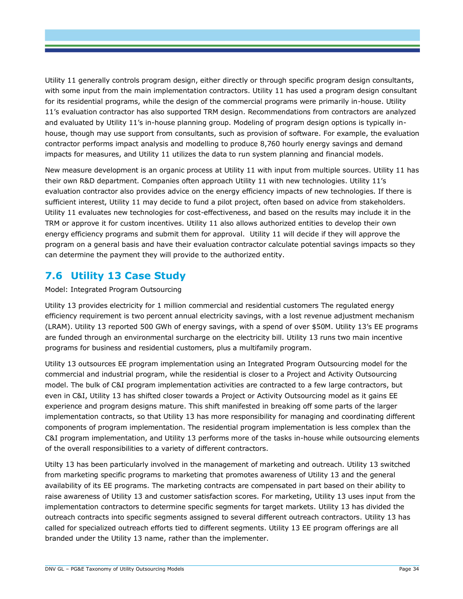Utility 11 generally controls program design, either directly or through specific program design consultants, with some input from the main implementation contractors. Utility 11 has used a program design consultant for its residential programs, while the design of the commercial programs were primarily in-house. Utility 11's evaluation contractor has also supported TRM design. Recommendations from contractors are analyzed and evaluated by Utility 11's in-house planning group. Modeling of program design options is typically inhouse, though may use support from consultants, such as provision of software. For example, the evaluation contractor performs impact analysis and modelling to produce 8,760 hourly energy savings and demand impacts for measures, and Utility 11 utilizes the data to run system planning and financial models.

New measure development is an organic process at Utility 11 with input from multiple sources. Utility 11 has their own R&D department. Companies often approach Utility 11 with new technologies. Utility 11's evaluation contractor also provides advice on the energy efficiency impacts of new technologies. If there is sufficient interest, Utility 11 may decide to fund a pilot project, often based on advice from stakeholders. Utility 11 evaluates new technologies for cost-effectiveness, and based on the results may include it in the TRM or approve it for custom incentives. Utility 11 also allows authorized entities to develop their own energy efficiency programs and submit them for approval. Utility 11 will decide if they will approve the program on a general basis and have their evaluation contractor calculate potential savings impacts so they can determine the payment they will provide to the authorized entity.

#### **7.6 Utility 13 Case Study**

Model: Integrated Program Outsourcing

Utility 13 provides electricity for 1 million commercial and residential customers The regulated energy efficiency requirement is two percent annual electricity savings, with a lost revenue adjustment mechanism (LRAM). Utility 13 reported 500 GWh of energy savings, with a spend of over \$50M. Utility 13's EE programs are funded through an environmental surcharge on the electricity bill. Utility 13 runs two main incentive programs for business and residential customers, plus a multifamily program.

Utility 13 outsources EE program implementation using an Integrated Program Outsourcing model for the commercial and industrial program, while the residential is closer to a Project and Activity Outsourcing model. The bulk of C&I program implementation activities are contracted to a few large contractors, but even in C&I, Utility 13 has shifted closer towards a Project or Activity Outsourcing model as it gains EE experience and program designs mature. This shift manifested in breaking off some parts of the larger implementation contracts, so that Utility 13 has more responsibility for managing and coordinating different components of program implementation. The residential program implementation is less complex than the C&I program implementation, and Utility 13 performs more of the tasks in-house while outsourcing elements of the overall responsibilities to a variety of different contractors.

Utilty 13 has been particularly involved in the management of marketing and outreach. Utility 13 switched from marketing specific programs to marketing that promotes awareness of Utility 13 and the general availability of its EE programs. The marketing contracts are compensated in part based on their ability to raise awareness of Utility 13 and customer satisfaction scores. For marketing, Utility 13 uses input from the implementation contractors to determine specific segments for target markets. Utility 13 has divided the outreach contracts into specific segments assigned to several different outreach contractors. Utility 13 has called for specialized outreach efforts tied to different segments. Utility 13 EE program offerings are all branded under the Utility 13 name, rather than the implementer.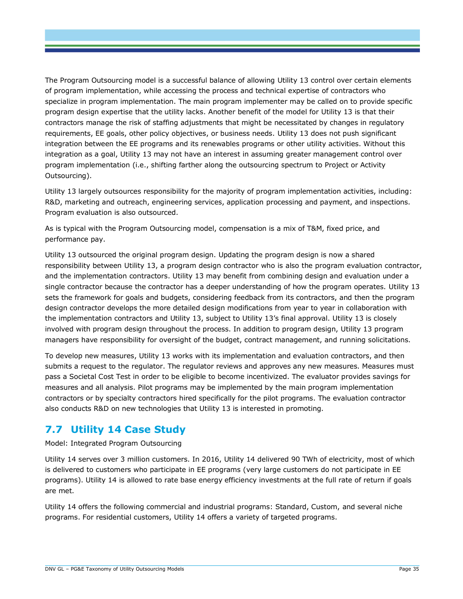The Program Outsourcing model is a successful balance of allowing Utility 13 control over certain elements of program implementation, while accessing the process and technical expertise of contractors who specialize in program implementation. The main program implementer may be called on to provide specific program design expertise that the utility lacks. Another benefit of the model for Utility 13 is that their contractors manage the risk of staffing adjustments that might be necessitated by changes in regulatory requirements, EE goals, other policy objectives, or business needs. Utility 13 does not push significant integration between the EE programs and its renewables programs or other utility activities. Without this integration as a goal, Utility 13 may not have an interest in assuming greater management control over program implementation (i.e., shifting farther along the outsourcing spectrum to Project or Activity Outsourcing).

Utility 13 largely outsources responsibility for the majority of program implementation activities, including: R&D, marketing and outreach, engineering services, application processing and payment, and inspections. Program evaluation is also outsourced.

As is typical with the Program Outsourcing model, compensation is a mix of T&M, fixed price, and performance pay.

Utility 13 outsourced the original program design. Updating the program design is now a shared responsibility between Utility 13, a program design contractor who is also the program evaluation contractor, and the implementation contractors. Utility 13 may benefit from combining design and evaluation under a single contractor because the contractor has a deeper understanding of how the program operates. Utility 13 sets the framework for goals and budgets, considering feedback from its contractors, and then the program design contractor develops the more detailed design modifications from year to year in collaboration with the implementation contractors and Utility 13, subject to Utility 13's final approval. Utility 13 is closely involved with program design throughout the process. In addition to program design, Utility 13 program managers have responsibility for oversight of the budget, contract management, and running solicitations.

To develop new measures, Utility 13 works with its implementation and evaluation contractors, and then submits a request to the regulator. The regulator reviews and approves any new measures. Measures must pass a Societal Cost Test in order to be eligible to become incentivized. The evaluator provides savings for measures and all analysis. Pilot programs may be implemented by the main program implementation contractors or by specialty contractors hired specifically for the pilot programs. The evaluation contractor also conducts R&D on new technologies that Utility 13 is interested in promoting.

#### **7.7 Utility 14 Case Study**

Model: Integrated Program Outsourcing

Utility 14 serves over 3 million customers. In 2016, Utility 14 delivered 90 TWh of electricity, most of which is delivered to customers who participate in EE programs (very large customers do not participate in EE programs). Utility 14 is allowed to rate base energy efficiency investments at the full rate of return if goals are met.

Utility 14 offers the following commercial and industrial programs: Standard, Custom, and several niche programs. For residential customers, Utility 14 offers a variety of targeted programs.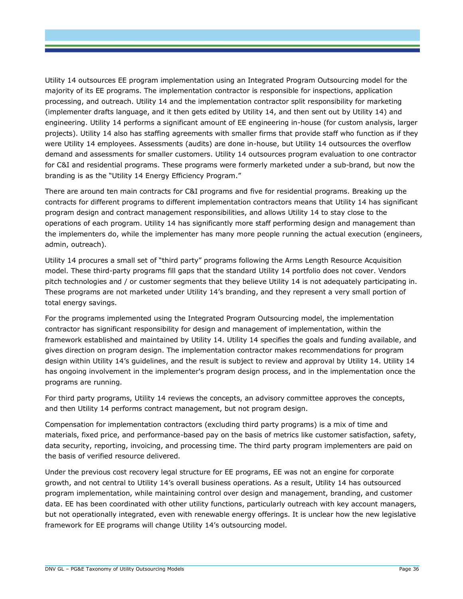Utility 14 outsources EE program implementation using an Integrated Program Outsourcing model for the majority of its EE programs. The implementation contractor is responsible for inspections, application processing, and outreach. Utility 14 and the implementation contractor split responsibility for marketing (implementer drafts language, and it then gets edited by Utility 14, and then sent out by Utility 14) and engineering. Utility 14 performs a significant amount of EE engineering in-house (for custom analysis, larger projects). Utility 14 also has staffing agreements with smaller firms that provide staff who function as if they were Utility 14 employees. Assessments (audits) are done in-house, but Utility 14 outsources the overflow demand and assessments for smaller customers. Utility 14 outsources program evaluation to one contractor for C&I and residential programs. These programs were formerly marketed under a sub-brand, but now the branding is as the "Utility 14 Energy Efficiency Program."

There are around ten main contracts for C&I programs and five for residential programs. Breaking up the contracts for different programs to different implementation contractors means that Utility 14 has significant program design and contract management responsibilities, and allows Utility 14 to stay close to the operations of each program. Utility 14 has significantly more staff performing design and management than the implementers do, while the implementer has many more people running the actual execution (engineers, admin, outreach).

Utility 14 procures a small set of "third party" programs following the Arms Length Resource Acquisition model. These third-party programs fill gaps that the standard Utility 14 portfolio does not cover. Vendors pitch technologies and / or customer segments that they believe Utility 14 is not adequately participating in. These programs are not marketed under Utility 14's branding, and they represent a very small portion of total energy savings.

For the programs implemented using the Integrated Program Outsourcing model, the implementation contractor has significant responsibility for design and management of implementation, within the framework established and maintained by Utility 14. Utility 14 specifies the goals and funding available, and gives direction on program design. The implementation contractor makes recommendations for program design within Utility 14's guidelines, and the result is subject to review and approval by Utility 14. Utility 14 has ongoing involvement in the implementer's program design process, and in the implementation once the programs are running.

For third party programs, Utility 14 reviews the concepts, an advisory committee approves the concepts, and then Utility 14 performs contract management, but not program design.

Compensation for implementation contractors (excluding third party programs) is a mix of time and materials, fixed price, and performance-based pay on the basis of metrics like customer satisfaction, safety, data security, reporting, invoicing, and processing time. The third party program implementers are paid on the basis of verified resource delivered.

Under the previous cost recovery legal structure for EE programs, EE was not an engine for corporate growth, and not central to Utility 14's overall business operations. As a result, Utility 14 has outsourced program implementation, while maintaining control over design and management, branding, and customer data. EE has been coordinated with other utility functions, particularly outreach with key account managers, but not operationally integrated, even with renewable energy offerings. It is unclear how the new legislative framework for EE programs will change Utility 14's outsourcing model.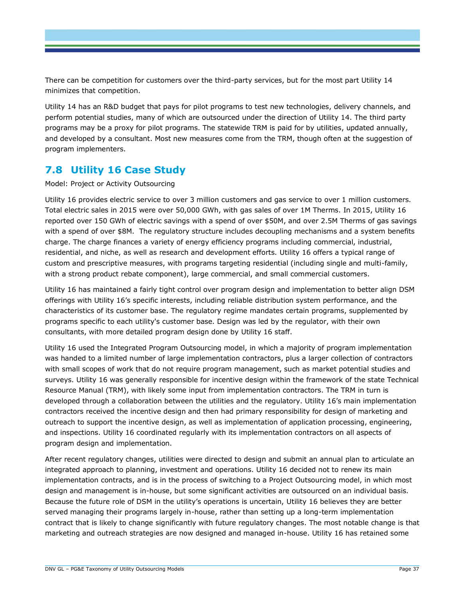There can be competition for customers over the third-party services, but for the most part Utility 14 minimizes that competition.

Utility 14 has an R&D budget that pays for pilot programs to test new technologies, delivery channels, and perform potential studies, many of which are outsourced under the direction of Utility 14. The third party programs may be a proxy for pilot programs. The statewide TRM is paid for by utilities, updated annually, and developed by a consultant. Most new measures come from the TRM, though often at the suggestion of program implementers.

#### **7.8 Utility 16 Case Study**

#### Model: Project or Activity Outsourcing

Utility 16 provides electric service to over 3 million customers and gas service to over 1 million customers. Total electric sales in 2015 were over 50,000 GWh, with gas sales of over 1M Therms. In 2015, Utility 16 reported over 150 GWh of electric savings with a spend of over \$50M, and over 2.5M Therms of gas savings with a spend of over \$8M. The regulatory structure includes decoupling mechanisms and a system benefits charge. The charge finances a variety of energy efficiency programs including commercial, industrial, residential, and niche, as well as research and development efforts. Utility 16 offers a typical range of custom and prescriptive measures, with programs targeting residential (including single and multi-family, with a strong product rebate component), large commercial, and small commercial customers.

Utility 16 has maintained a fairly tight control over program design and implementation to better align DSM offerings with Utility 16's specific interests, including reliable distribution system performance, and the characteristics of its customer base. The regulatory regime mandates certain programs, supplemented by programs specific to each utility's customer base. Design was led by the regulator, with their own consultants, with more detailed program design done by Utility 16 staff.

Utility 16 used the Integrated Program Outsourcing model, in which a majority of program implementation was handed to a limited number of large implementation contractors, plus a larger collection of contractors with small scopes of work that do not require program management, such as market potential studies and surveys. Utility 16 was generally responsible for incentive design within the framework of the state Technical Resource Manual (TRM), with likely some input from implementation contractors. The TRM in turn is developed through a collaboration between the utilities and the regulatory. Utility 16's main implementation contractors received the incentive design and then had primary responsibility for design of marketing and outreach to support the incentive design, as well as implementation of application processing, engineering, and inspections. Utility 16 coordinated regularly with its implementation contractors on all aspects of program design and implementation.

After recent regulatory changes, utilities were directed to design and submit an annual plan to articulate an integrated approach to planning, investment and operations. Utility 16 decided not to renew its main implementation contracts, and is in the process of switching to a Project Outsourcing model, in which most design and management is in-house, but some significant activities are outsourced on an individual basis. Because the future role of DSM in the utility's operations is uncertain, Utility 16 believes they are better served managing their programs largely in-house, rather than setting up a long-term implementation contract that is likely to change significantly with future regulatory changes. The most notable change is that marketing and outreach strategies are now designed and managed in-house. Utility 16 has retained some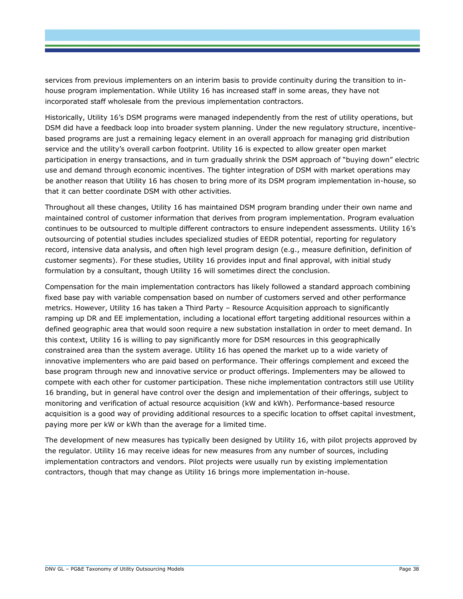services from previous implementers on an interim basis to provide continuity during the transition to inhouse program implementation. While Utility 16 has increased staff in some areas, they have not incorporated staff wholesale from the previous implementation contractors.

Historically, Utility 16's DSM programs were managed independently from the rest of utility operations, but DSM did have a feedback loop into broader system planning. Under the new regulatory structure, incentivebased programs are just a remaining legacy element in an overall approach for managing grid distribution service and the utility's overall carbon footprint. Utility 16 is expected to allow greater open market participation in energy transactions, and in turn gradually shrink the DSM approach of "buying down" electric use and demand through economic incentives. The tighter integration of DSM with market operations may be another reason that Utility 16 has chosen to bring more of its DSM program implementation in-house, so that it can better coordinate DSM with other activities.

Throughout all these changes, Utility 16 has maintained DSM program branding under their own name and maintained control of customer information that derives from program implementation. Program evaluation continues to be outsourced to multiple different contractors to ensure independent assessments. Utility 16's outsourcing of potential studies includes specialized studies of EEDR potential, reporting for regulatory record, intensive data analysis, and often high level program design (e.g., measure definition, definition of customer segments). For these studies, Utility 16 provides input and final approval, with initial study formulation by a consultant, though Utility 16 will sometimes direct the conclusion.

Compensation for the main implementation contractors has likely followed a standard approach combining fixed base pay with variable compensation based on number of customers served and other performance metrics. However, Utility 16 has taken a Third Party – Resource Acquisition approach to significantly ramping up DR and EE implementation, including a locational effort targeting additional resources within a defined geographic area that would soon require a new substation installation in order to meet demand. In this context, Utility 16 is willing to pay significantly more for DSM resources in this geographically constrained area than the system average. Utility 16 has opened the market up to a wide variety of innovative implementers who are paid based on performance. Their offerings complement and exceed the base program through new and innovative service or product offerings. Implementers may be allowed to compete with each other for customer participation. These niche implementation contractors still use Utility 16 branding, but in general have control over the design and implementation of their offerings, subject to monitoring and verification of actual resource acquisition (kW and kWh). Performance-based resource acquisition is a good way of providing additional resources to a specific location to offset capital investment, paying more per kW or kWh than the average for a limited time.

The development of new measures has typically been designed by Utility 16, with pilot projects approved by the regulator. Utility 16 may receive ideas for new measures from any number of sources, including implementation contractors and vendors. Pilot projects were usually run by existing implementation contractors, though that may change as Utility 16 brings more implementation in-house.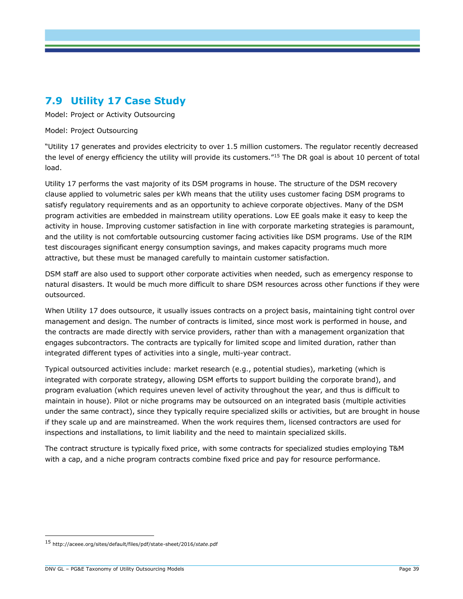#### **7.9 Utility 17 Case Study**

Model: Project or Activity Outsourcing

Model: Project Outsourcing

"Utility 17 generates and provides electricity to over 1.5 million customers. The regulator recently decreased the level of energy efficiency the utility will provide its customers."<sup>15</sup> The DR goal is about 10 percent of total load.

Utility 17 performs the vast majority of its DSM programs in house. The structure of the DSM recovery clause applied to volumetric sales per kWh means that the utility uses customer facing DSM programs to satisfy regulatory requirements and as an opportunity to achieve corporate objectives. Many of the DSM program activities are embedded in mainstream utility operations. Low EE goals make it easy to keep the activity in house. Improving customer satisfaction in line with corporate marketing strategies is paramount, and the utility is not comfortable outsourcing customer facing activities like DSM programs. Use of the RIM test discourages significant energy consumption savings, and makes capacity programs much more attractive, but these must be managed carefully to maintain customer satisfaction.

DSM staff are also used to support other corporate activities when needed, such as emergency response to natural disasters. It would be much more difficult to share DSM resources across other functions if they were outsourced.

When Utility 17 does outsource, it usually issues contracts on a project basis, maintaining tight control over management and design. The number of contracts is limited, since most work is performed in house, and the contracts are made directly with service providers, rather than with a management organization that engages subcontractors. The contracts are typically for limited scope and limited duration, rather than integrated different types of activities into a single, multi-year contract.

Typical outsourced activities include: market research (e.g., potential studies), marketing (which is integrated with corporate strategy, allowing DSM efforts to support building the corporate brand), and program evaluation (which requires uneven level of activity throughout the year, and thus is difficult to maintain in house). Pilot or niche programs may be outsourced on an integrated basis (multiple activities under the same contract), since they typically require specialized skills or activities, but are brought in house if they scale up and are mainstreamed. When the work requires them, licensed contractors are used for inspections and installations, to limit liability and the need to maintain specialized skills.

The contract structure is typically fixed price, with some contracts for specialized studies employing T&M with a cap, and a niche program contracts combine fixed price and pay for resource performance.

<sup>15</sup> http://aceee.org/sites/default/files/pdf/state-sheet/2016/*state*.pdf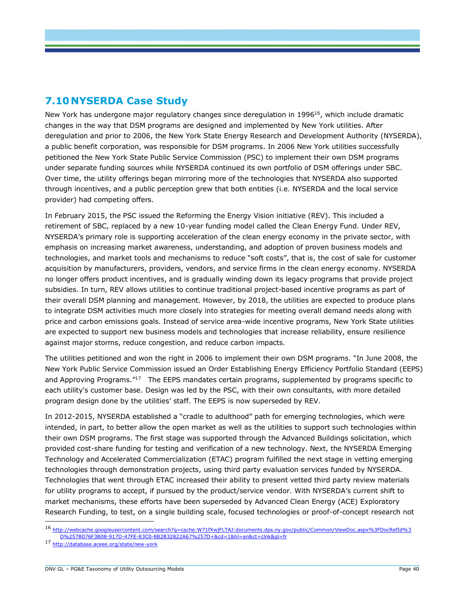#### **7.10 NYSERDA Case Study**

New York has undergone major regulatory changes since deregulation in 1996<sup>16</sup>, which include dramatic changes in the way that DSM programs are designed and implemented by New York utilities. After deregulation and prior to 2006, the New York State Energy Research and Development Authority (NYSERDA), a public benefit corporation, was responsible for DSM programs. In 2006 New York utilities successfully petitioned the New York State Public Service Commission (PSC) to implement their own DSM programs under separate funding sources while NYSERDA continued its own portfolio of DSM offerings under SBC. Over time, the utility offerings began mirroring more of the technologies that NYSERDA also supported through incentives, and a public perception grew that both entities (i.e. NYSERDA and the local service provider) had competing offers.

In February 2015, the PSC issued the Reforming the Energy Vision initiative (REV). This included a retirement of SBC, replaced by a new 10-year funding model called the Clean Energy Fund. Under REV, NYSERDA's primary role is supporting acceleration of the clean energy economy in the private sector, with emphasis on increasing market awareness, understanding, and adoption of proven business models and technologies, and market tools and mechanisms to reduce "soft costs", that is, the cost of sale for customer acquisition by manufacturers, providers, vendors, and service firms in the clean energy economy. NYSERDA no longer offers product incentives, and is gradually winding down its legacy programs that provide project subsidies. In turn, REV allows utilities to continue traditional project-based incentive programs as part of their overall DSM planning and management. However, by 2018, the utilities are expected to produce plans to integrate DSM activities much more closely into strategies for meeting overall demand needs along with price and carbon emissions goals. Instead of service area-wide incentive programs, New York State utilities are expected to support new business models and technologies that increase reliability, ensure resilience against major storms, reduce congestion, and reduce carbon impacts.

The utilities petitioned and won the right in 2006 to implement their own DSM programs. "In June 2008, the New York Public Service Commission issued an Order Establishing Energy Efficiency Portfolio Standard (EEPS) and Approving Programs."<sup>17</sup> The EEPS mandates certain programs, supplemented by programs specific to each utility's customer base. Design was led by the PSC, with their own consultants, with more detailed program design done by the utilities' staff. The EEPS is now superseded by REV.

In 2012-2015, NYSERDA established a "cradle to adulthood" path for emerging technologies, which were intended, in part, to better allow the open market as well as the utilities to support such technologies within their own DSM programs. The first stage was supported through the Advanced Buildings solicitation, which provided cost-share funding for testing and verification of a new technology. Next, the NYSERDA Emerging Technology and Accelerated Commercialization (ETAC) program fulfilled the next stage in vetting emerging technologies through demonstration projects, using third party evaluation services funded by NYSERDA. Technologies that went through ETAC increased their ability to present vetted third party review materials for utility programs to accept, if pursued by the product/service vendor. With NYSERDA's current shift to market mechanisms, these efforts have been superseded by Advanced Clean Energy (ACE) Exploratory Research Funding, to test, on a single building scale, focused technologies or proof-of-concept research not

<sup>16</sup> [http://webcache.googleusercontent.com/search?q=cache:W71fXwjFLTAJ:documents.dps.ny.gov/public/Common/ViewDoc.aspx%3FDocRefId%3](http://webcache.googleusercontent.com/search?q=cache:W71fXwjFLTAJ:documents.dps.ny.gov/public/Common/ViewDoc.aspx%3FDocRefId%3D%257B076F3B08-917D-47FE-83C0-8B2B32822A67%257D+&cd=1&hl=en&ct=clnk&gl=fr) [D%257B076F3B08-917D-47FE-83C0-8B2B32822A67%257D+&cd=1&hl=en&ct=clnk&gl=fr](http://webcache.googleusercontent.com/search?q=cache:W71fXwjFLTAJ:documents.dps.ny.gov/public/Common/ViewDoc.aspx%3FDocRefId%3D%257B076F3B08-917D-47FE-83C0-8B2B32822A67%257D+&cd=1&hl=en&ct=clnk&gl=fr) 

<sup>17</sup> <http://database.aceee.org/state/new-york>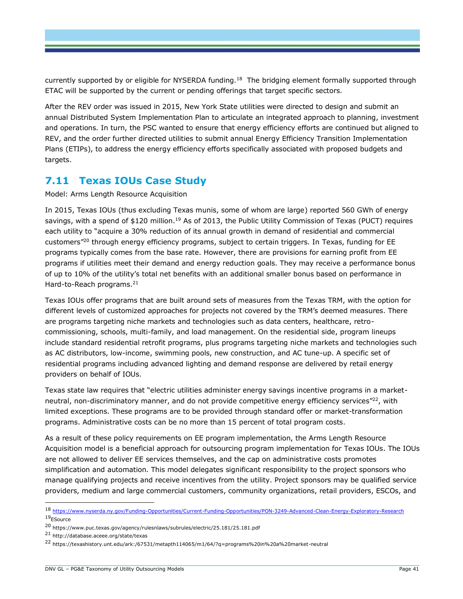currently supported by or eligible for NYSERDA funding.<sup>18</sup> The bridging element formally supported through ETAC will be supported by the current or pending offerings that target specific sectors.

After the REV order was issued in 2015, New York State utilities were directed to design and submit an annual Distributed System Implementation Plan to articulate an integrated approach to planning, investment and operations. In turn, the PSC wanted to ensure that energy efficiency efforts are continued but aligned to REV, and the order further directed utilities to submit annual Energy Efficiency Transition Implementation Plans (ETIPs), to address the energy efficiency efforts specifically associated with proposed budgets and targets.

#### **7.11 Texas IOUs Case Study**

Model: Arms Length Resource Acquisition

In 2015, Texas IOUs (thus excluding Texas munis, some of whom are large) reported 560 GWh of energy savings, with a spend of \$120 million.<sup>19</sup> As of 2013, the Public Utility Commission of Texas (PUCT) requires each utility to "acquire a 30% reduction of its annual growth in demand of residential and commercial customers"<sup>20</sup> through energy efficiency programs, subject to certain triggers. In Texas, funding for EE programs typically comes from the base rate. However, there are provisions for earning profit from EE programs if utilities meet their demand and energy reduction goals. They may receive a performance bonus of up to 10% of the utility's total net benefits with an additional smaller bonus based on performance in Hard-to-Reach programs.<sup>21</sup>

Texas IOUs offer programs that are built around sets of measures from the Texas TRM, with the option for different levels of customized approaches for projects not covered by the TRM's deemed measures. There are programs targeting niche markets and technologies such as data centers, healthcare, retrocommissioning, schools, multi-family, and load management. On the residential side, program lineups include standard residential retrofit programs, plus programs targeting niche markets and technologies such as AC distributors, low-income, swimming pools, new construction, and AC tune-up. A specific set of residential programs including advanced lighting and demand response are delivered by retail energy providers on behalf of IOUs.

Texas state law requires that "electric utilities administer energy savings incentive programs in a marketneutral, non-discriminatory manner, and do not provide competitive energy efficiency services"<sup>22</sup>, with limited exceptions. These programs are to be provided through standard offer or market-transformation programs. Administrative costs can be no more than 15 percent of total program costs.

As a result of these policy requirements on EE program implementation, the Arms Length Resource Acquisition model is a beneficial approach for outsourcing program implementation for Texas IOUs. The IOUs are not allowed to deliver EE services themselves, and the cap on administrative costs promotes simplification and automation. This model delegates significant responsibility to the project sponsors who manage qualifying projects and receive incentives from the utility. Project sponsors may be qualified service providers, medium and large commercial customers, community organizations, retail providers, ESCOs, and

<sup>18</sup> <https://www.nyserda.ny.gov/Funding-Opportunities/Current-Funding-Opportunities/PON-3249-Advanced-Clean-Energy-Exploratory-Research> <sup>19</sup>ESource

<sup>20</sup> https://www.puc.texas.gov/agency/rulesnlaws/subrules/electric/25.181/25.181.pdf

<sup>21</sup> http://database.aceee.org/state/texas

<sup>22</sup> https://texashistory.unt.edu/ark:/67531/metapth114065/m1/64/?q=programs%20in%20a%20market-neutral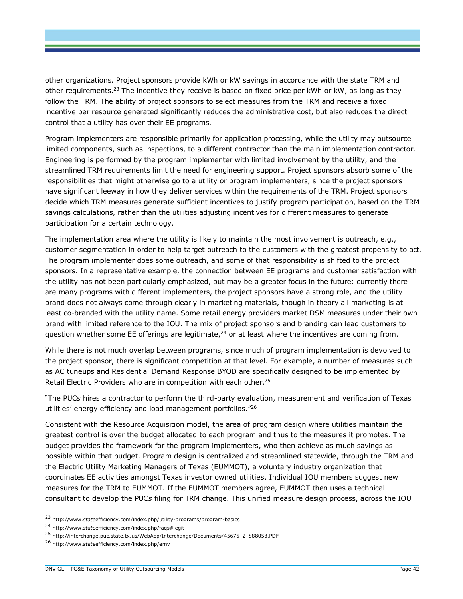other organizations. Project sponsors provide kWh or kW savings in accordance with the state TRM and other requirements.<sup>23</sup> The incentive they receive is based on fixed price per kWh or kW, as long as they follow the TRM. The ability of project sponsors to select measures from the TRM and receive a fixed incentive per resource generated significantly reduces the administrative cost, but also reduces the direct control that a utility has over their EE programs.

Program implementers are responsible primarily for application processing, while the utility may outsource limited components, such as inspections, to a different contractor than the main implementation contractor. Engineering is performed by the program implementer with limited involvement by the utility, and the streamlined TRM requirements limit the need for engineering support. Project sponsors absorb some of the responsibilities that might otherwise go to a utility or program implementers, since the project sponsors have significant leeway in how they deliver services within the requirements of the TRM. Project sponsors decide which TRM measures generate sufficient incentives to justify program participation, based on the TRM savings calculations, rather than the utilities adjusting incentives for different measures to generate participation for a certain technology.

The implementation area where the utility is likely to maintain the most involvement is outreach, e.g., customer segmentation in order to help target outreach to the customers with the greatest propensity to act. The program implementer does some outreach, and some of that responsibility is shifted to the project sponsors. In a representative example, the connection between EE programs and customer satisfaction with the utility has not been particularly emphasized, but may be a greater focus in the future: currently there are many programs with different implementers, the project sponsors have a strong role, and the utility brand does not always come through clearly in marketing materials, though in theory all marketing is at least co-branded with the utility name. Some retail energy providers market DSM measures under their own brand with limited reference to the IOU. The mix of project sponsors and branding can lead customers to question whether some EE offerings are legitimate, $24$  or at least where the incentives are coming from.

While there is not much overlap between programs, since much of program implementation is devolved to the project sponsor, there is significant competition at that level. For example, a number of measures such as AC tuneups and Residential Demand Response BYOD are specifically designed to be implemented by Retail Electric Providers who are in competition with each other.<sup>25</sup>

"The PUC*s* hires a contractor to perform the third-party evaluation, measurement and verification of Texas utilities' energy efficiency and load management portfolios."<sup>26</sup>

Consistent with the Resource Acquisition model, the area of program design where utilities maintain the greatest control is over the budget allocated to each program and thus to the measures it promotes. The budget provides the framework for the program implementers, who then achieve as much savings as possible within that budget. Program design is centralized and streamlined statewide, through the TRM and the Electric Utility Marketing Managers of Texas (EUMMOT), a voluntary industry organization that coordinates EE activities amongst Texas investor owned utilities. Individual IOU members suggest new measures for the TRM to EUMMOT. If the EUMMOT members agree, EUMMOT then uses a technical consultant to develop the PUC*s* filing for TRM change. This unified measure design process, across the IOU

<sup>23</sup> http://www.*state*efficiency.com/index.php/utility-programs/program-basics

<sup>24</sup> http://www.*state*efficiency.com/index.php/faqs#legit

<sup>25</sup> http://interchange.puc.state.tx.us/WebApp/Interchange/Documents/45675\_2\_888053.PDF

<sup>26</sup> http://www.*state*efficiency.com/index.php/emv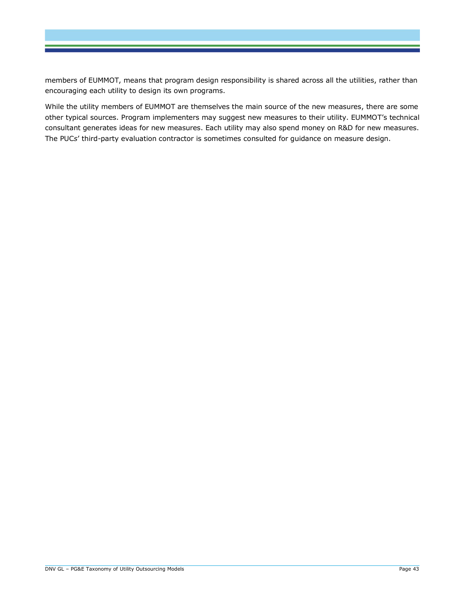members of EUMMOT, means that program design responsibility is shared across all the utilities, rather than encouraging each utility to design its own programs.

While the utility members of EUMMOT are themselves the main source of the new measures, there are some other typical sources. Program implementers may suggest new measures to their utility. EUMMOT's technical consultant generates ideas for new measures. Each utility may also spend money on R&D for new measures. The PUC*s*' third-party evaluation contractor is sometimes consulted for guidance on measure design.